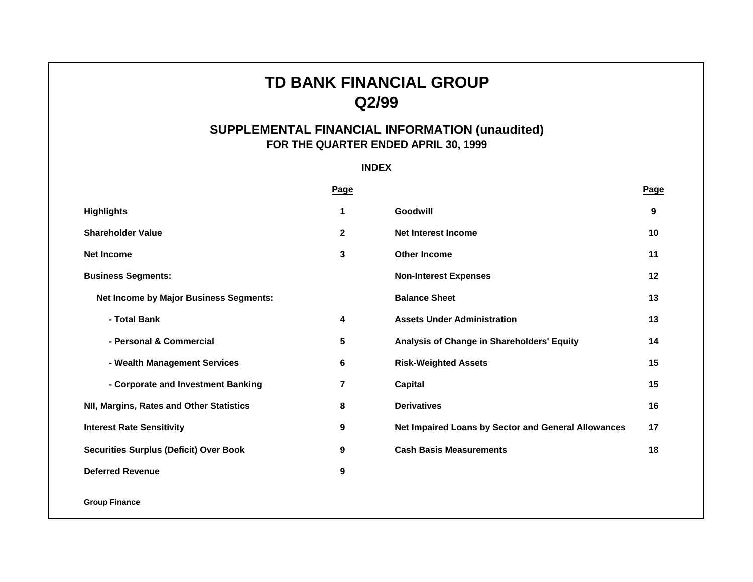# **TD BANK FINANCIAL GROUP Q2/99**

# **SUPPLEMENTAL FINANCIAL INFORMATION (unaudited) FOR THE QUARTER ENDED APRIL 30, 1999**

**INDEX**

|                                               | <b>Page</b> |                                                     | Page    |
|-----------------------------------------------|-------------|-----------------------------------------------------|---------|
| <b>Highlights</b>                             | 1           | Goodwill                                            | 9       |
| <b>Shareholder Value</b>                      | $\mathbf 2$ | <b>Net Interest Income</b>                          | 10      |
| <b>Net Income</b>                             | 3           | <b>Other Income</b>                                 | 11      |
| <b>Business Segments:</b>                     |             | <b>Non-Interest Expenses</b>                        | $12 \,$ |
| <b>Net Income by Major Business Segments:</b> |             | <b>Balance Sheet</b>                                | 13      |
| - Total Bank                                  | 4           | <b>Assets Under Administration</b>                  | 13      |
| - Personal & Commercial                       | 5           | Analysis of Change in Shareholders' Equity          | 14      |
| - Wealth Management Services                  | 6           | <b>Risk-Weighted Assets</b>                         | 15      |
| - Corporate and Investment Banking            | 7           | Capital                                             | 15      |
| NII, Margins, Rates and Other Statistics      | 8           | <b>Derivatives</b>                                  | 16      |
| <b>Interest Rate Sensitivity</b>              | 9           | Net Impaired Loans by Sector and General Allowances | 17      |
| <b>Securities Surplus (Deficit) Over Book</b> | 9           | <b>Cash Basis Measurements</b>                      | 18      |
| <b>Deferred Revenue</b>                       | 9           |                                                     |         |
|                                               |             |                                                     |         |

**Group Finance**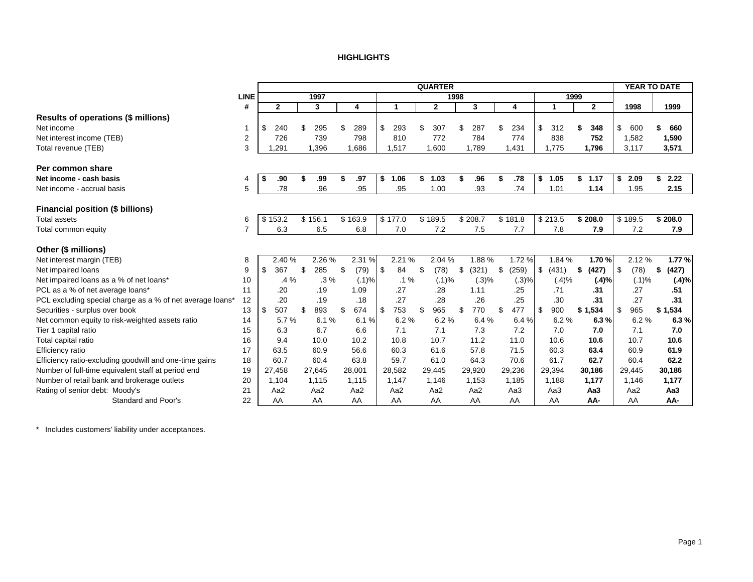#### **HIGHLIGHTS**

<span id="page-1-0"></span>

|                                                           |             |              |           |                 |            | <b>QUARTER</b>          |             |             |             |                         | YEAR TO DATE |             |
|-----------------------------------------------------------|-------------|--------------|-----------|-----------------|------------|-------------------------|-------------|-------------|-------------|-------------------------|--------------|-------------|
|                                                           | <b>LINE</b> |              | 1997      |                 |            |                         | 1998        |             | 1999        |                         |              |             |
|                                                           | #           | $\mathbf{2}$ | 3         | 4               | 1          | $\overline{\mathbf{2}}$ | 3           | 4           | 1           | $\overline{\mathbf{2}}$ | 1998         | 1999        |
| Results of operations (\$ millions)                       |             |              |           |                 |            |                         |             |             |             |                         |              |             |
| Net income                                                | 1           | \$<br>240    | \$<br>295 | 289<br>\$       | \$<br>293  | 307<br>\$               | 287<br>\$   | 234<br>\$   | \$<br>312   | 348                     | \$<br>600    | 660         |
| Net interest income (TEB)                                 | 2           | 726          | 739       | 798             | 810        | 772                     | 784         | 774         | 838         | 752                     | 1,582        | 1,590       |
| Total revenue (TEB)                                       | 3           | 1,291        | 1,396     | 1,686           | 1,517      | 1,600                   | 1,789       | 1,431       | 1,775       | 1,796                   | 3,117        | 3,571       |
|                                                           |             |              |           |                 |            |                         |             |             |             |                         |              |             |
| Per common share                                          |             |              |           |                 |            |                         |             |             |             |                         |              |             |
| Net income - cash basis                                   | 4           | \$<br>.90    | .99       | \$<br>.97       | \$<br>1.06 | \$<br>1.03              | .96<br>\$   | \$<br>.78   | \$<br>1.05  | \$1.17                  | \$<br>2.09   | 2.22<br>\$  |
| Net income - accrual basis                                | 5           | .78          | .96       | .95             | .95        | 1.00                    | .93         | .74         | 1.01        | 1.14                    | 1.95         | 2.15        |
|                                                           |             |              |           |                 |            |                         |             |             |             |                         |              |             |
| <b>Financial position (\$ billions)</b>                   |             |              |           |                 |            |                         |             |             |             |                         |              |             |
| Total assets                                              | 6           | \$153.2      | \$156.1   | \$163.9         | \$177.0    | \$189.5                 | \$208.7     | \$181.8     | \$213.5     | \$208.0                 | \$189.5      | \$208.0     |
| Total common equity                                       | 7           | 6.3          | 6.5       | 6.8             | 7.0        | 7.2                     | 7.5         | 7.7         | 7.8         | 7.9                     | 7.2          | 7.9         |
|                                                           |             |              |           |                 |            |                         |             |             |             |                         |              |             |
| Other (\$ millions)                                       |             |              |           |                 |            |                         |             |             |             |                         |              |             |
| Net interest margin (TEB)                                 | 8           | 2.40%        | 2.26 %    | 2.31 %          | 2.21 %     | 2.04 %                  | 1.88%       | 1.72%       | 1.84 %      | 1.70%                   | 2.12%        | 1.77%       |
| Net impaired loans                                        | 9           | \$<br>367    | \$<br>285 | \$<br>(79)      | \$<br>84   | \$<br>(78)              | \$<br>(321) | \$<br>(259) | \$<br>(431) | \$<br>(427)             | \$<br>(78)   | (427)<br>\$ |
| Net impaired loans as a % of net loans*                   | 10          | $.4\%$       | $.3\%$    | (.1)%           | $.1\%$     | (.1)%                   | (.3)%       | (.3)%       | (.4)%       | (.4)%                   | (.1)%        | (.4)%       |
| PCL as a % of net average loans*                          | 11          | .20          | .19       | 1.09            | .27        | .28                     | 1.11        | .25         | .71         | .31                     | .27          | .51         |
| PCL excluding special charge as a % of net average loans* | 12          | .20          | .19       | .18             | .27        | .28                     | .26         | .25         | .30         | .31                     | .27          | .31         |
| Securities - surplus over book                            | 13          | \$<br>507    | 893<br>\$ | 674<br>\$       | \$<br>753  | 965<br>\$               | 770<br>\$   | 477<br>\$   | \$<br>900   | \$1,534                 | 965<br>\$    | \$1,534     |
| Net common equity to risk-weighted assets ratio           | 14          | 5.7%         | 6.1%      | 6.1%            | 6.2%       | 6.2%                    | 6.4%        | 6.4%        | 6.2%        | 6.3%                    | 6.2%         | 6.3%        |
| Tier 1 capital ratio                                      | 15          | 6.3          | 6.7       | 6.6             | 7.1        | 7.1                     | 7.3         | 7.2         | 7.0         | 7.0                     | 7.1          | 7.0         |
| Total capital ratio                                       | 16          | 9.4          | 10.0      | 10.2            | 10.8       | 10.7                    | 11.2        | 11.0        | 10.6        | 10.6                    | 10.7         | 10.6        |
| Efficiency ratio                                          | 17          | 63.5         | 60.9      | 56.6            | 60.3       | 61.6                    | 57.8        | 71.5        | 60.3        | 63.4                    | 60.9         | 61.9        |
| Efficiency ratio-excluding goodwill and one-time gains    | 18          | 60.7         | 60.4      | 63.8            | 59.7       | 61.0                    | 64.3        | 70.6        | 61.7        | 62.7                    | 60.4         | 62.2        |
| Number of full-time equivalent staff at period end        | 19          | 27,458       | 27,645    | 28,001          | 28,582     | 29,445                  | 29,920      | 29,236      | 29,394      | 30,186                  | 29,445       | 30,186      |
| Number of retail bank and brokerage outlets               | 20          | 1,104        | 1,115     | 1,115           | 1,147      | 1,146                   | 1,153       | 1,185       | 1,188       | 1,177                   | 1,146        | 1,177       |
| Rating of senior debt: Moody's                            | 21          | Aa2          | Aa2       | Aa <sub>2</sub> | Aa2        | Aa2                     | Aa2         | Aa3         | Aa3         | Aa <sub>3</sub>         | Aa2          | Aa3         |
| Standard and Poor's                                       | 22          | AA           | AA        | AA              | AA         | AA                      | AA          | AA          | AA          | AA-                     | AA           | AA-         |

\* Includes customers' liability under acceptances.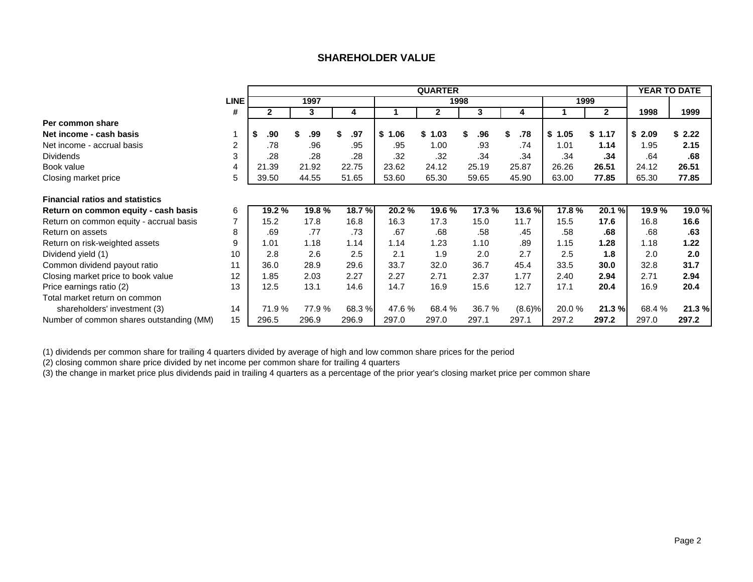# **SHAREHOLDER VALUE**

<span id="page-2-0"></span>

|                                          |                |              |        |           |        | <b>QUARTER</b> |          |               |        |              |        | <b>YEAR TO DATE</b> |
|------------------------------------------|----------------|--------------|--------|-----------|--------|----------------|----------|---------------|--------|--------------|--------|---------------------|
|                                          | <b>LINE</b>    |              | 1997   |           |        | 1998           |          |               | 1999   |              |        |                     |
|                                          | #              | $\mathbf{2}$ | 3      | 4         |        | $\mathbf{2}$   | 3        | 4             |        | $\mathbf{2}$ | 1998   | 1999                |
| Per common share                         |                |              |        |           |        |                |          |               |        |              |        |                     |
| Net income - cash basis                  |                | .90          | .99    | .97<br>\$ | \$1.06 | \$1.03         | .96<br>S | .78<br>S      | \$1.05 | \$1.17       | \$2.09 | \$2.22              |
| Net income - accrual basis               | $\overline{2}$ | .78          | .96    | .95       | .95    | 1.00           | .93      | .74           | 1.01   | 1.14         | 1.95   | 2.15                |
| <b>Dividends</b>                         | 3              | .28          | .28    | .28       | .32    | .32            | .34      | .34           | .34    | .34          | .64    | .68                 |
| Book value                               | 4              | 21.39        | 21.92  | 22.75     | 23.62  | 24.12          | 25.19    | 25.87         | 26.26  | 26.51        | 24.12  | 26.51               |
| Closing market price                     | 5              | 39.50        | 44.55  | 51.65     | 53.60  | 65.30          | 59.65    | 45.90         | 63.00  | 77.85        | 65.30  | 77.85               |
| <b>Financial ratios and statistics</b>   |                |              |        |           |        |                |          |               |        |              |        |                     |
| Return on common equity - cash basis     | 6              | 19.2 %       | 19.8 % | 18.7 %    | 20.2%  | 19.6 %         | 17.3 %   | <b>13.6 %</b> | 17.8%  | 20.1%        | 19.9 % | 19.0 %              |
| Return on common equity - accrual basis  | $\overline{7}$ | 15.2         | 17.8   | 16.8      | 16.3   | 17.3           | 15.0     | 11.7          | 15.5   | 17.6         | 16.8   | 16.6                |
| Return on assets                         | 8              | .69          | .77    | .73       | .67    | .68            | .58      | .45           | .58    | .68          | .68    | .63                 |
| Return on risk-weighted assets           | 9              | 1.01         | 1.18   | 1.14      | 1.14   | 1.23           | 1.10     | .89           | 1.15   | 1.28         | 1.18   | 1.22                |
| Dividend yield (1)                       | 10             | 2.8          | 2.6    | 2.5       | 2.1    | 1.9            | 2.0      | 2.7           | 2.5    | 1.8          | 2.0    | 2.0                 |
| Common dividend payout ratio             | 11             | 36.0         | 28.9   | 29.6      | 33.7   | 32.0           | 36.7     | 45.4          | 33.5   | 30.0         | 32.8   | 31.7                |
| Closing market price to book value       | 12             | 1.85         | 2.03   | 2.27      | 2.27   | 2.71           | 2.37     | 1.77          | 2.40   | 2.94         | 2.71   | 2.94                |
| Price earnings ratio (2)                 | 13             | 12.5         | 13.1   | 14.6      | 14.7   | 16.9           | 15.6     | 12.7          | 17.1   | 20.4         | 16.9   | 20.4                |
| Total market return on common            |                |              |        |           |        |                |          |               |        |              |        |                     |
| shareholders' investment (3)             | 14             | 71.9 %       | 77.9 % | 68.3 %    | 47.6%  | 68.4 %         | 36.7 %   | (8.6)%        | 20.0%  | 21.3%        | 68.4 % | 21.3%               |
| Number of common shares outstanding (MM) | 15             | 296.5        | 296.9  | 296.9     | 297.0  | 297.0          | 297.1    | 297.1         | 297.2  | 297.2        | 297.0  | 297.2               |

(1) dividends per common share for trailing 4 quarters divided by average of high and low common share prices for the period

(2) closing common share price divided by net income per common share for trailing 4 quarters

(3) the change in market price plus dividends paid in trailing 4 quarters as a percentage of the prior year's closing market price per common share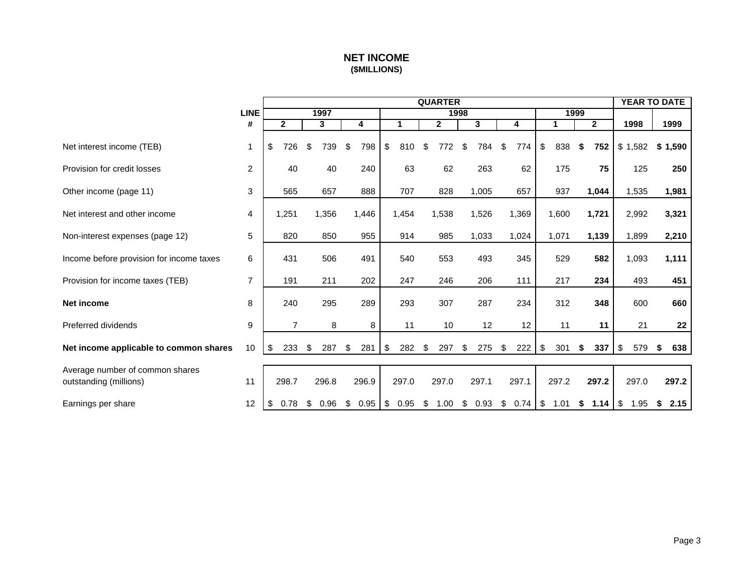# **NET INCOME (\$MILLIONS)**

<span id="page-3-0"></span>

|                                                           |                |                |            |            |            | <b>QUARTER</b> |            |           |            |                |           | <b>YEAR TO DATE</b> |
|-----------------------------------------------------------|----------------|----------------|------------|------------|------------|----------------|------------|-----------|------------|----------------|-----------|---------------------|
|                                                           | <b>LINE</b>    |                | 1997       |            |            |                | 1998       |           |            | 1999           |           |                     |
|                                                           | #              | $\mathbf{2}$   | 3          | 4          | 1          | $\mathbf{2}$   | 3          | 4         | 1          | $\overline{2}$ | 1998      | 1999                |
| Net interest income (TEB)                                 | 1              | \$<br>726      | \$<br>739  | 798<br>\$  | \$<br>810  | \$<br>772      | \$<br>784  | \$<br>774 | \$<br>838  | -\$<br>752     | \$1,582   | \$1,590             |
| Provision for credit losses                               | $\overline{c}$ | 40             | 40         | 240        | 63         | 62             | 263        | 62        | 175        | 75             | 125       | 250                 |
| Other income (page 11)                                    | 3              | 565            | 657        | 888        | 707        | 828            | 1,005      | 657       | 937        | 1,044          | 1,535     | 1,981               |
| Net interest and other income                             | 4              | 1,251          | 1,356      | 1,446      | 1,454      | 1,538          | 1,526      | 1,369     | 1,600      | 1,721          | 2,992     | 3,321               |
| Non-interest expenses (page 12)                           | 5              | 820            | 850        | 955        | 914        | 985            | 1,033      | 1,024     | 1,071      | 1,139          | 1,899     | 2,210               |
| Income before provision for income taxes                  | 6              | 431            | 506        | 491        | 540        | 553            | 493        | 345       | 529        | 582            | 1,093     | 1,111               |
| Provision for income taxes (TEB)                          | $\overline{7}$ | 191            | 211        | 202        | 247        | 246            | 206        | 111       | 217        | 234            | 493       | 451                 |
| Net income                                                | 8              | 240            | 295        | 289        | 293        | 307            | 287        | 234       | 312        | 348            | 600       | 660                 |
| Preferred dividends                                       | 9              | $\overline{7}$ | 8          | 8          | 11         | 10             | 12         | 12        | 11         | 11             | 21        | 22                  |
| Net income applicable to common shares                    | 10             | 233<br>\$      | \$<br>287  | 281<br>\$  | \$<br>282  | \$<br>297      | 275<br>\$  | 222<br>\$ | \$<br>301  | 337<br>\$      | \$<br>579 | 638<br>S            |
| Average number of common shares<br>outstanding (millions) | 11             | 298.7          | 296.8      | 296.9      | 297.0      | 297.0          | 297.1      | 297.1     | 297.2      | 297.2          | 297.0     | 297.2               |
| Earnings per share                                        | 12             | 0.78<br>\$     | 0.96<br>\$ | 0.95<br>\$ | 0.95<br>\$ | \$<br>1.00     | 0.93<br>\$ | \$0.74    | \$<br>1.01 | \$<br>1.14     | \$1.95    | 2.15<br>\$          |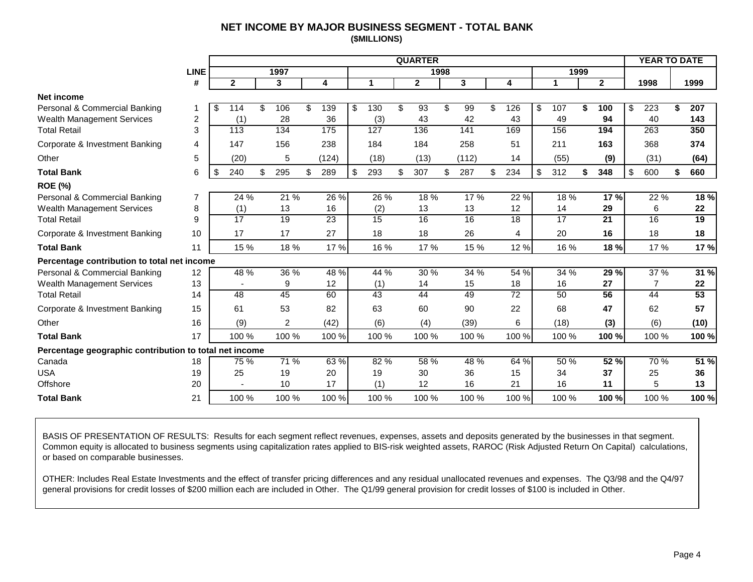# **NET INCOME BY MAJOR BUSINESS SEGMENT - TOTAL BANK (\$MILLIONS)**

<span id="page-4-0"></span>

|                                                        |             |              |                |    |                 |           | <b>QUARTER</b> |      |       |                 |           |      |              | <b>YEAR TO DATE</b>    |           |
|--------------------------------------------------------|-------------|--------------|----------------|----|-----------------|-----------|----------------|------|-------|-----------------|-----------|------|--------------|------------------------|-----------|
|                                                        | <b>LINE</b> |              | 1997           |    |                 |           |                | 1998 |       |                 |           | 1999 |              |                        |           |
|                                                        | #           | $\mathbf{2}$ | 3              |    | 4               |           | $\mathbf{2}$   |      | 3     | 4               | 1         |      | $\mathbf{2}$ | 1998                   | 1999      |
| <b>Net income</b>                                      |             |              |                |    |                 |           |                |      |       |                 |           |      |              |                        |           |
| Personal & Commercial Banking                          |             | \$<br>114    | \$<br>106      | ß. | 139             | \$<br>130 | \$<br>93       | \$   | 99    | \$<br>126       | \$<br>107 |      | 100          | \$<br>$\overline{223}$ | \$<br>207 |
| <b>Wealth Management Services</b>                      | 2           | (1)          | 28             |    | 36              | (3)       | 43             |      | 42    | 43              | 49        |      | 94           | 40                     | 143       |
| <b>Total Retail</b>                                    | 3           | 113          | 134            |    | 175             | 127       | 136            |      | 141   | 169             | 156       |      | 194          | 263                    | 350       |
| Corporate & Investment Banking                         | 4           | 147          | 156            |    | 238             | 184       | 184            |      | 258   | 51              | 211       |      | 163          | 368                    | 374       |
| Other                                                  | 5           | (20)         | 5              |    | (124)           | (18)      | (13)           |      | (112) | 14              | (55)      |      | (9)          | (31)                   | (64)      |
| <b>Total Bank</b>                                      | 6           | \$<br>240    | 295            | \$ | 289             | \$<br>293 | \$<br>307      | \$   | 287   | \$<br>234       | \$<br>312 | \$   | 348          | \$<br>600              | \$<br>660 |
| <b>ROE (%)</b>                                         |             |              |                |    |                 |           |                |      |       |                 |           |      |              |                        |           |
| Personal & Commercial Banking                          | 7           | $24\%$       | 21 %           |    | 26 %            | 26 %      | 18%            |      | 17 %  | 22 %            | 18%       |      | 17%          | 22 %                   | 18 %      |
| <b>Wealth Management Services</b>                      | 8           | (1)          | 13             |    | 16              | (2)       | 13             |      | 13    | 12              | 14        |      | 29           | 6                      | 22        |
| <b>Total Retail</b>                                    | 9           | 17           | 19             |    | $\overline{23}$ | 15        | 16             |      | 16    | 18              | 17        |      | 21           | 16                     | 19        |
| Corporate & Investment Banking                         | 10          | 17           | 17             |    | 27              | 18        | 18             |      | 26    | 4               | 20        |      | 16           | 18                     | 18        |
| <b>Total Bank</b>                                      | 11          | 15 %         | 18%            |    | 17 %            | 16 %      | 17 %           |      | 15 %  | 12 %            | 16 %      |      | 18%          | 17 %                   | 17 %      |
| Percentage contribution to total net income            |             |              |                |    |                 |           |                |      |       |                 |           |      |              |                        |           |
| Personal & Commercial Banking                          | 12          | 48 %         | 36 %           |    | 48 %            | 44 %      | 30 %           |      | 34 %  | 54 %            | 34 %      |      | 29 %         | 37 %                   | 31%       |
| <b>Wealth Management Services</b>                      | 13          |              | 9              |    | 12              | (1)       | 14             |      | 15    | 18              | 16        |      | 27           | $\overline{7}$         | 22        |
| <b>Total Retail</b>                                    | 14          | 48           | 45             |    | 60              | 43        | 44             |      | 49    | $\overline{72}$ | 50        |      | 56           | 44                     | 53        |
| Corporate & Investment Banking                         | 15          | 61           | 53             |    | 82              | 63        | 60             |      | 90    | 22              | 68        |      | 47           | 62                     | 57        |
| Other                                                  | 16          | (9)          | $\overline{2}$ |    | (42)            | (6)       | (4)            |      | (39)  | 6               | (18)      |      | (3)          | (6)                    | (10)      |
| <b>Total Bank</b>                                      | 17          | 100 %        | 100 %          |    | 100 %           | 100 %     | 100 %          |      | 100 % | 100 %           | 100 %     |      | 100 %        | 100 %                  | 100 %     |
| Percentage geographic contribution to total net income |             |              |                |    |                 |           |                |      |       |                 |           |      |              |                        |           |
| Canada                                                 | 18          | 75 %         | 71 %           |    | 63 %            | 82 %      | 58 %           |      | 48 %  | 64 %            | 50 %      |      | 52 %         | 70 %                   | 51%       |
| <b>USA</b>                                             | 19          | 25           | 19             |    | 20              | 19        | 30             |      | 36    | 15              | 34        |      | 37           | 25                     | 36        |
| Offshore                                               | 20          |              | 10             |    | 17              | (1)       | 12             |      | 16    | 21              | 16        |      | 11           | 5                      | 13        |
| <b>Total Bank</b>                                      | 21          | 100 %        | 100 %          |    | 100 %           | 100 %     | 100 %          |      | 100 % | 100 %           | 100 %     |      | 100 %        | 100 %                  | 100 %     |

BASIS OF PRESENTATION OF RESULTS: Results for each segment reflect revenues, expenses, assets and deposits generated by the businesses in that segment. Common equity is allocated to business segments using capitalization rates applied to BIS-risk weighted assets, RAROC (Risk Adjusted Return On Capital) calculations, or based on comparable businesses.

OTHER: Includes Real Estate Investments and the effect of transfer pricing differences and any residual unallocated revenues and expenses. The Q3/98 and the Q4/97 general provisions for credit losses of \$200 million each are included in Other. The Q1/99 general provision for credit losses of \$100 is included in Other.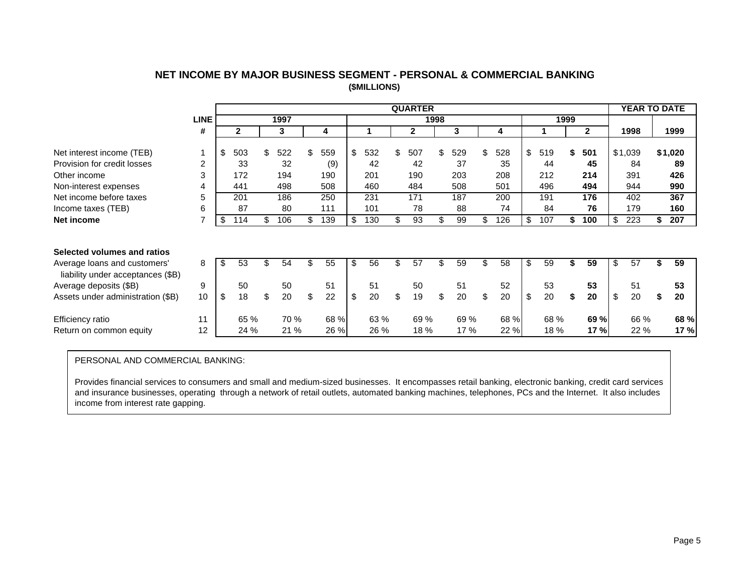|                                                                   |             |              |          |           |           | <b>QUARTER</b> |      |      |     |      |           |      |              | <b>YEAR TO DATE</b> |          |
|-------------------------------------------------------------------|-------------|--------------|----------|-----------|-----------|----------------|------|------|-----|------|-----------|------|--------------|---------------------|----------|
|                                                                   | <b>LINE</b> |              | 1997     |           |           |                | 1998 |      |     |      |           | 1999 |              |                     |          |
|                                                                   | #           | $\mathbf{2}$ | 3        | 4         |           | $\mathbf{2}$   |      | 3    |     | 4    |           |      | $\mathbf{2}$ | 1998                | 1999     |
|                                                                   |             |              |          |           |           |                |      |      |     |      |           |      |              |                     |          |
| Net interest income (TEB)                                         |             | \$<br>503    | 522      | \$<br>559 | \$<br>532 | \$<br>507      | \$   | 529  | \$  | 528  | \$<br>519 | \$   | 501          | \$1,039             | \$1,020  |
| Provision for credit losses                                       | 2           | 33           | 32       | (9)       | 42        | 42             |      | 37   |     | 35   | 44        |      | 45           | 84                  | 89       |
| Other income                                                      | 3           | 172          | 194      | 190       | 201       | 190            |      | 203  |     | 208  | 212       |      | 214          | 391                 | 426      |
| Non-interest expenses                                             | 4           | 441          | 498      | 508       | 460       | 484            |      | 508  |     | 501  | 496       |      | 494          | 944                 | 990      |
| Net income before taxes                                           | 5           | 201          | 186      | 250       | 231       | 171            |      | 187  |     | 200  | 191       |      | 176          | 402                 | 367      |
| Income taxes (TEB)                                                | 6           | 87           | 80       | 111       | 101       | 78             |      | 88   |     | 74   | 84        |      | 76           | 179                 | 160      |
| Net income                                                        |             | \$<br>114    | 106      | \$<br>139 | 130       | \$<br>93       | S    | 99   | \$  | 126  | \$<br>107 | S    | 100          | \$<br>223           | 207      |
|                                                                   |             |              |          |           |           |                |      |      |     |      |           |      |              |                     |          |
| Selected volumes and ratios                                       |             |              |          |           |           |                |      |      |     |      |           |      |              |                     |          |
| Average loans and customers'<br>liability under acceptances (\$B) | 8           | \$<br>53     | 54       | 55        | \$<br>56  | \$<br>57       |      | 59   | \$. | 58   | \$<br>59  |      | 59           | \$<br>57            | 59       |
| Average deposits (\$B)                                            | 9           | 50           | 50       | 51        | 51        | 50             |      | 51   |     | 52   | 53        |      | 53           | 51                  | 53       |
| Assets under administration (\$B)                                 | 10          | \$<br>18     | \$<br>20 | \$<br>22  | \$<br>20  | \$<br>19       | \$   | 20   | \$  | 20   | \$<br>20  | \$   | 20           | \$<br>20            | \$<br>20 |
| Efficiency ratio                                                  | 11          | 65 %         | 70 %     | 68 %      | 63 %      | 69 %           |      | 69 % |     | 68 % | 68 %      |      | 69 %         | 66 %                | 68 %     |
| Return on common equity                                           | 12          | 24 %         | 21 %     | 26 %      | 26 %      | 18 %           |      | 17 % |     | 22 % | 18 %      |      | 17 %         | 22 %                | 17%      |

# **NET INCOME BY MAJOR BUSINESS SEGMENT - PERSONAL & COMMERCIAL BANKING (\$MILLIONS)**

### PERSONAL AND COMMERCIAL BANKING:

Provides financial services to consumers and small and medium-sized businesses. It encompasses retail banking, electronic banking, credit card services and insurance businesses, operating through a network of retail outlets, automated banking machines, telephones, PCs and the Internet. It also includes income from interest rate gapping.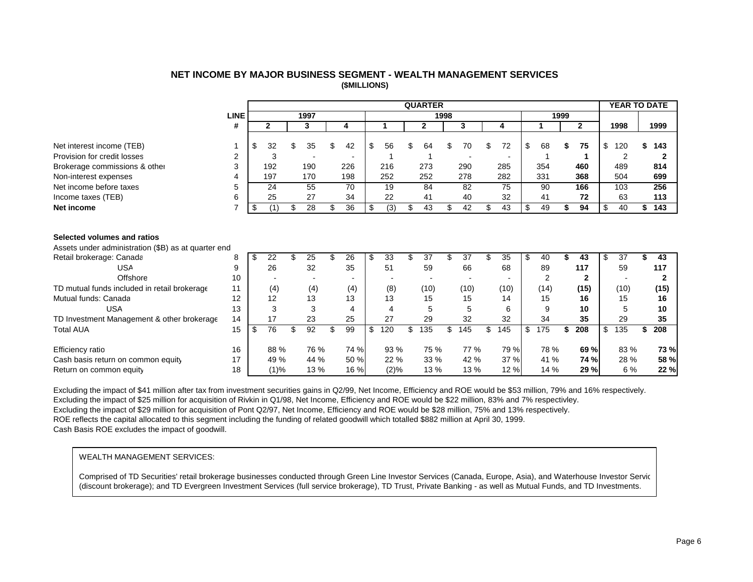### **NET INCOME BY MAJOR BUSINESS SEGMENT - WEALTH MANAGEMENT SERVICES (\$MILLIONS)**

<span id="page-6-0"></span>

|                                                                                    |                |                       |                 |     |                 |                      |     | <b>QUARTER</b> |      |      |           |                |    |              | <b>YEAR TO DATE</b> |       |
|------------------------------------------------------------------------------------|----------------|-----------------------|-----------------|-----|-----------------|----------------------|-----|----------------|------|------|-----------|----------------|----|--------------|---------------------|-------|
|                                                                                    | <b>LINE</b>    |                       | 1997            |     |                 |                      |     |                | 1998 |      |           | 1999           |    |              |                     |       |
|                                                                                    | #              | $\mathbf{2}$          | 3               |     | 4               |                      |     | $\mathbf{2}$   |      | 3    | 4         |                |    | $\mathbf{2}$ | 1998                | 1999  |
|                                                                                    |                |                       |                 |     |                 |                      |     |                |      |      |           |                |    |              |                     |       |
| Net interest income (TEB)                                                          |                | \$<br>32              | 35              |     | 42              | \$<br>56             | S   | 64             | \$   | 70   | 72        | \$<br>68       | S  | 75           | \$<br>120           | 143   |
| Provision for credit losses                                                        | $\overline{2}$ | 3                     |                 |     |                 |                      |     |                |      |      |           |                |    |              | $\overline{2}$      |       |
| Brokerage commissions & other                                                      | 3              | 192                   | 190             |     | 226             | 216                  |     | 273            |      | 290  | 285       | 354            |    | 460          | 489                 | 814   |
| Non-interest expenses                                                              | 4              | 197                   | 170             |     | 198             | 252                  |     | 252            |      | 278  | 282       | 331            |    | 368          | 504                 | 699   |
| Net income before taxes                                                            | 5              | 24                    | 55              |     | 70              | 19                   |     | 84             |      | 82   | 75        | 90             |    | 166          | 103                 | 256   |
| Income taxes (TEB)                                                                 | 6              | 25                    | 27              |     | 34              | 22                   |     | 41             |      | 40   | 32        | 41             |    | 72           | 63                  | 113   |
| Net income                                                                         | $\overline{7}$ | \$<br>(1)             | \$<br>28        | \$  | 36              | \$<br>$\overline{3}$ | \$  | 43             | \$   | 42   | \$<br>43  | 49             | \$ | 94           | \$<br>40            | \$143 |
| Selected volumes and ratios<br>Assets under administration (\$B) as at quarter end |                |                       |                 |     |                 |                      |     |                |      |      |           |                |    |              |                     |       |
| Retail brokerage: Canada                                                           | 8              | \$<br>22              | \$<br>25        | \$. | 26              | \$<br>33             | \$. | 37             | \$   | 37   | \$<br>35  | \$<br>40       | \$ | 43           | \$<br>37            | 43    |
| <b>USA</b>                                                                         | 9              | 26                    | 32              |     | 35              | 51                   |     | 59             |      | 66   | 68        | 89             |    | 117          | 59                  | 117   |
| Offshore                                                                           | 10             |                       |                 |     |                 |                      |     |                |      |      |           | $\overline{2}$ |    | $\mathbf{2}$ |                     | 2     |
| TD mutual funds included in retail brokerage                                       | 11             | (4)                   | (4)             |     | (4)             | (8)                  |     | (10)           |      | (10) | (10)      | (14)           |    | (15)         | (10)                | (15)  |
| Mutual funds: Canada                                                               | 12             | 12                    | 13              |     | 13              | 13                   |     | 15             |      | 15   | 14        | 15             |    | 16           | 15                  | 16    |
| <b>USA</b>                                                                         | 13             | 3                     | 3               |     | 4               | 4                    |     | 5              |      | 5    | 6         | 9              |    | 10           | 5                   | 10    |
| TD Investment Management & other brokerage                                         | 14             | 17                    | 23              |     | 25              | 27                   |     | 29             |      | 32   | 32        | 34             |    | 35           | 29                  | 35    |
| <b>Total AUA</b>                                                                   | 15             | \$<br>$\overline{76}$ | $\overline{92}$ | \$  | $\overline{99}$ | \$<br>120            |     | 135            | \$   | 145  | \$<br>145 | \$<br>175      | \$ | 208          | \$<br>135           | 208   |
| Efficiency ratio                                                                   | 16             | 88%                   | 76 %            |     | 74 %            | 93 %                 |     | 75 %           |      | 77 % | 79 %      | 78 %           |    | 69 %         | 83 %                | 73 %  |
| Cash basis return on common equity                                                 | 17             | 49 %                  | 44 %            |     | 50 %            | 22 %                 |     | 33 %           |      | 42 % | 37 %      | 41 %           |    | 74 %         | 28 %                | 58 %  |
| Return on common equity                                                            | 18             | (1)%                  | 13 %            |     | 16 %            | (2)%                 |     | 13 %           |      | 13 % | 12%       | 14 %           |    | 29 %         | 6 %                 | 22 %  |

Excluding the impact of \$41 million after tax from investment securities gains in Q2/99, Net Income, Efficiency and ROE would be \$53 million, 79% and 16% respectively. Excluding the impact of \$25 million for acquisition of Rivkin in Q1/98, Net Income, Efficiency and ROE would be \$22 million, 83% and 7% respectivley. Excluding the impact of \$29 million for acquisition of Pont Q2/97, Net Income, Efficiency and ROE would be \$28 million, 75% and 13% respectively. ROE reflects the capital allocated to this segment including the funding of related goodwill which totalled \$882 million at April 30, 1999. Cash Basis ROE excludes the impact of goodwill.

#### WEALTH MANAGEMENT SERVICES:

Comprised of TD Securities' retail brokerage businesses conducted through Green Line Investor Services (Canada, Europe, Asia), and Waterhouse Investor Service (discount brokerage); and TD Evergreen Investment Services (full service brokerage), TD Trust, Private Banking - as well as Mutual Funds, and TD Investments.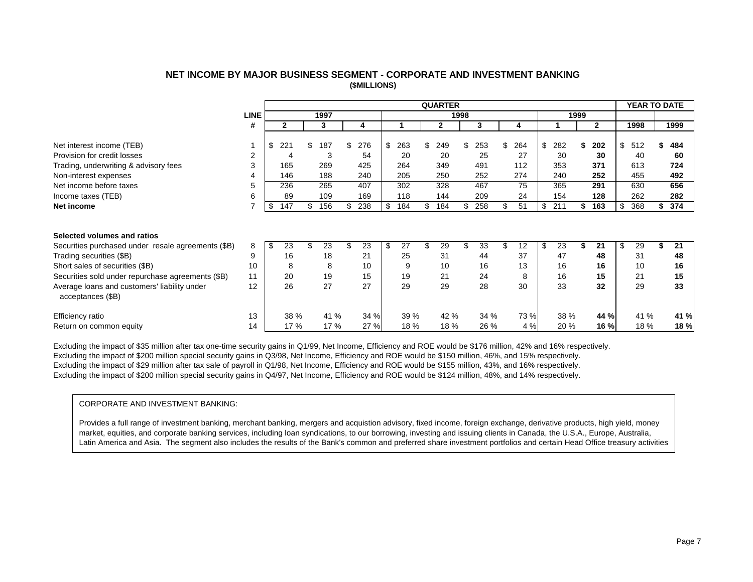### **NET INCOME BY MAJOR BUSINESS SEGMENT - CORPORATE AND INVESTMENT BANKING (\$MILLIONS)**

<span id="page-7-0"></span>

|                                                                   |             |           |           |           |           | <b>QUARTER</b> |      |      |          |           |      |              | <b>YEAR TO DATE</b> |      |
|-------------------------------------------------------------------|-------------|-----------|-----------|-----------|-----------|----------------|------|------|----------|-----------|------|--------------|---------------------|------|
|                                                                   | <b>LINE</b> |           | 1997      |           |           |                | 1998 |      |          |           | 1999 |              |                     |      |
|                                                                   | #           | 2         | 3         | 4         |           | $\mathbf{2}$   |      | 3    | 4        |           |      | $\mathbf{2}$ | 1998                | 1999 |
|                                                                   |             |           | \$        |           |           |                |      |      |          |           |      |              |                     |      |
| Net interest income (TEB)                                         |             | \$<br>221 | 187       | \$<br>276 | \$<br>263 | \$<br>249      | \$   | 253  | 264      | \$<br>282 |      | 202          | \$<br>512           | 484  |
| Provision for credit losses                                       | 2           | 4         | 3         | 54        | 20        | 20             |      | 25   | 27       | 30        |      | 30           | 40                  | 60   |
| Trading, underwriting & advisory fees                             | 3           | 165       | 269       | 425       | 264       | 349            |      | 491  | 112      | 353       |      | 371          | 613                 | 724  |
| Non-interest expenses                                             |             | 146       | 188       | 240       | 205       | 250            |      | 252  | 274      | 240       |      | 252          | 455                 | 492  |
| Net income before taxes                                           | 5           | 236       | 265       | 407       | 302       | 328            |      | 467  | 75       | 365       |      | 291          | 630                 | 656  |
| Income taxes (TEB)                                                | 6           | 89        | 109       | 169       | 118       | 144            |      | 209  | 24       | 154       |      | 128          | 262                 | 282  |
| Net income                                                        |             | \$<br>147 | \$<br>156 | \$<br>238 | \$<br>184 | \$<br>184      | \$   | 258  | \$<br>51 | \$<br>211 |      | 163          | \$<br>368           | 374  |
|                                                                   |             |           |           |           |           |                |      |      |          |           |      |              |                     |      |
| Selected volumes and ratios                                       |             |           |           |           |           |                |      |      |          |           |      |              |                     |      |
| Securities purchased under resale agreements (\$B)                | 8           | \$<br>23  | 23        | 23        | \$<br>27  | 29             | \$   | 33   | 12       | \$<br>23  |      | 21           | \$<br>29            | 21   |
| Trading securities (\$B)                                          | 9           | 16        | 18        | 21        | 25        | 31             |      | 44   | 37       | 47        |      | 48           | 31                  | 48   |
| Short sales of securities (\$B)                                   | 10          | 8         | 8         | 10        | 9         | 10             |      | 16   | 13       | 16        |      | 16           | 10                  | 16   |
| Securities sold under repurchase agreements (\$B)                 | 11          | 20        | 19        | 15        | 19        | 21             |      | 24   | 8        | 16        |      | 15           | 21                  | 15   |
| Average loans and customers' liability under<br>acceptances (\$B) | 12          | 26        | 27        | 27        | 29        | 29             |      | 28   | 30       | 33        |      | 32           | 29                  | 33   |
| Efficiency ratio                                                  | 13          | 38 %      | 41 %      | 34 %      | 39 %      | 42 %           |      | 34 % | 73 %     | 38 %      |      | 44 %         | 41 %                | 41 % |
| Return on common equity                                           | 14          | 17 %      | 17 %      | 27 %      | 18 %      | 18 %           |      | 26 % | 4 %      | 20 %      |      | 16 %         | 18 %                | 18 % |

Excluding the impact of \$35 million after tax one-time security gains in Q1/99, Net Income, Efficiency and ROE would be \$176 million, 42% and 16% respectively. Excluding the impact of \$200 million special security gains in Q3/98, Net Income, Efficiency and ROE would be \$150 million, 46%, and 15% respectively. Excluding the impact of \$29 million after tax sale of payroll in Q1/98, Net Income, Efficiency and ROE would be \$155 million, 43%, and 16% respectively. Excluding the impact of \$200 million special security gains in Q4/97, Net Income, Efficiency and ROE would be \$124 million, 48%, and 14% respectively.

#### CORPORATE AND INVESTMENT BANKING:

Provides a full range of investment banking, merchant banking, mergers and acquistion advisory, fixed income, foreign exchange, derivative products, high yield, money market, equities, and corporate banking services, including loan syndications, to our borrowing, investing and issuing clients in Canada, the U.S.A., Europe, Australia, Latin America and Asia. The segment also includes the results of the Bank's common and preferred share investment portfolios and certain Head Office treasury activities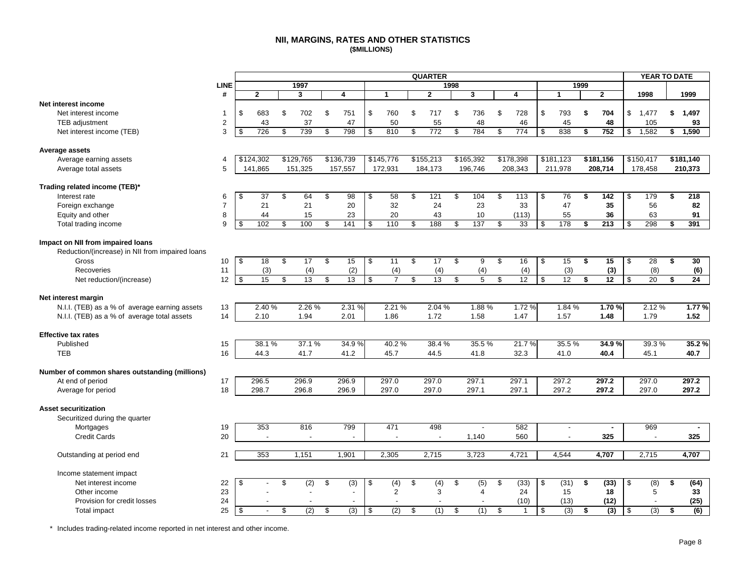#### **NII, MARGINS, RATES AND OTHER STATISTICS (\$MILLIONS)**

<span id="page-8-0"></span>

| <b>LINE</b><br>1997<br>1998<br>1999<br>$\mathbf{2}$<br>#<br>$\mathbf{2}$<br>3<br>3<br>4<br>$\mathbf{2}$<br>1998<br>1999<br>4<br>-1<br>1<br>Net interest income<br>\$<br>760<br>\$<br>\$<br>\$<br>\$<br>683<br>\$<br>702<br>\$<br>751<br>717<br>\$<br>736<br>\$<br>728<br>793<br>\$<br>704<br>1.477<br>\$1,497<br>Net interest income<br>-1<br>$\sqrt{2}$<br>37<br>47<br>50<br>45<br>48<br>TEB adjustment<br>43<br>55<br>48<br>46<br>105<br>93<br>3<br>$\overline{\mathbf{s}}$<br>726<br>739<br>798<br>810<br>772<br>784<br>$\overline{774}$<br>1,582<br>\$<br>\$<br>\$<br>\$<br>\$<br>\$<br>838<br>752<br>\$<br>1,590<br>Net interest income (TEB)<br>\$<br>\$<br>\$<br>Average assets<br>\$124,302<br>\$129,765<br>\$136,739<br>\$145,776<br>\$155,213<br>\$165,392<br>\$178,398<br>\$181,123<br>\$181,156<br>\$150,417<br>\$181,140<br>Average earning assets<br>4<br>211,978<br>5<br>141,865<br>151,325<br>157,557<br>172,931<br>184,173<br>196,746<br>208,343<br>208,714<br>178,458<br>210,373<br>Average total assets<br>Trading related income (TEB)*<br>58<br>104<br>76<br>\$<br>37<br>64<br>98<br>\$<br>$\overline{121}$<br>\$<br>\$<br>\$<br>142<br>\$<br>179<br>218<br>Interest rate<br>\$<br>\$<br>\$<br>113<br>\$<br>\$<br>6 |                  |  |    |    |    |    | <b>QUARTER</b> |    |    |    |    | YEAR TO DATE |                  |
|------------------------------------------------------------------------------------------------------------------------------------------------------------------------------------------------------------------------------------------------------------------------------------------------------------------------------------------------------------------------------------------------------------------------------------------------------------------------------------------------------------------------------------------------------------------------------------------------------------------------------------------------------------------------------------------------------------------------------------------------------------------------------------------------------------------------------------------------------------------------------------------------------------------------------------------------------------------------------------------------------------------------------------------------------------------------------------------------------------------------------------------------------------------------------------------------------------------------------------------|------------------|--|----|----|----|----|----------------|----|----|----|----|--------------|------------------|
|                                                                                                                                                                                                                                                                                                                                                                                                                                                                                                                                                                                                                                                                                                                                                                                                                                                                                                                                                                                                                                                                                                                                                                                                                                          |                  |  |    |    |    |    |                |    |    |    |    |              |                  |
|                                                                                                                                                                                                                                                                                                                                                                                                                                                                                                                                                                                                                                                                                                                                                                                                                                                                                                                                                                                                                                                                                                                                                                                                                                          |                  |  |    |    |    |    |                |    |    |    |    |              |                  |
|                                                                                                                                                                                                                                                                                                                                                                                                                                                                                                                                                                                                                                                                                                                                                                                                                                                                                                                                                                                                                                                                                                                                                                                                                                          |                  |  |    |    |    |    |                |    |    |    |    |              |                  |
|                                                                                                                                                                                                                                                                                                                                                                                                                                                                                                                                                                                                                                                                                                                                                                                                                                                                                                                                                                                                                                                                                                                                                                                                                                          |                  |  |    |    |    |    |                |    |    |    |    |              |                  |
|                                                                                                                                                                                                                                                                                                                                                                                                                                                                                                                                                                                                                                                                                                                                                                                                                                                                                                                                                                                                                                                                                                                                                                                                                                          |                  |  |    |    |    |    |                |    |    |    |    |              |                  |
|                                                                                                                                                                                                                                                                                                                                                                                                                                                                                                                                                                                                                                                                                                                                                                                                                                                                                                                                                                                                                                                                                                                                                                                                                                          |                  |  |    |    |    |    |                |    |    |    |    |              |                  |
|                                                                                                                                                                                                                                                                                                                                                                                                                                                                                                                                                                                                                                                                                                                                                                                                                                                                                                                                                                                                                                                                                                                                                                                                                                          |                  |  |    |    |    |    |                |    |    |    |    |              |                  |
|                                                                                                                                                                                                                                                                                                                                                                                                                                                                                                                                                                                                                                                                                                                                                                                                                                                                                                                                                                                                                                                                                                                                                                                                                                          |                  |  |    |    |    |    |                |    |    |    |    |              |                  |
|                                                                                                                                                                                                                                                                                                                                                                                                                                                                                                                                                                                                                                                                                                                                                                                                                                                                                                                                                                                                                                                                                                                                                                                                                                          |                  |  |    |    |    |    |                |    |    |    |    |              |                  |
|                                                                                                                                                                                                                                                                                                                                                                                                                                                                                                                                                                                                                                                                                                                                                                                                                                                                                                                                                                                                                                                                                                                                                                                                                                          |                  |  |    |    |    |    |                |    |    |    |    |              |                  |
|                                                                                                                                                                                                                                                                                                                                                                                                                                                                                                                                                                                                                                                                                                                                                                                                                                                                                                                                                                                                                                                                                                                                                                                                                                          |                  |  |    |    |    |    |                |    |    |    |    |              |                  |
|                                                                                                                                                                                                                                                                                                                                                                                                                                                                                                                                                                                                                                                                                                                                                                                                                                                                                                                                                                                                                                                                                                                                                                                                                                          |                  |  |    |    |    |    |                |    |    |    |    |              |                  |
| $\overline{7}$<br>56                                                                                                                                                                                                                                                                                                                                                                                                                                                                                                                                                                                                                                                                                                                                                                                                                                                                                                                                                                                                                                                                                                                                                                                                                     | Foreign exchange |  | 21 | 21 | 20 | 32 | 24             | 23 | 33 | 47 | 35 |              | 82               |
| Equity and other<br>8<br>15<br>23<br>20<br>43<br>(113)<br>55<br>63<br>91<br>44<br>10<br>36                                                                                                                                                                                                                                                                                                                                                                                                                                                                                                                                                                                                                                                                                                                                                                                                                                                                                                                                                                                                                                                                                                                                               |                  |  |    |    |    |    |                |    |    |    |    |              |                  |
| 9<br>102<br>\$<br>100<br>141<br>\$<br>110<br>\$<br>188<br>\$<br>137<br>\$<br>33<br>178<br>213<br>\$<br>298<br>391<br>Total trading income<br>\$<br>\$<br>\$<br>\$<br>\$                                                                                                                                                                                                                                                                                                                                                                                                                                                                                                                                                                                                                                                                                                                                                                                                                                                                                                                                                                                                                                                                  |                  |  |    |    |    |    |                |    |    |    |    |              |                  |
| Impact on NII from impaired loans<br>Reduction/(increase) in NII from impaired loans                                                                                                                                                                                                                                                                                                                                                                                                                                                                                                                                                                                                                                                                                                                                                                                                                                                                                                                                                                                                                                                                                                                                                     |                  |  |    |    |    |    |                |    |    |    |    |              |                  |
| \$<br>\$<br>17<br>\$<br>15<br>\$<br>11<br>\$<br>17<br>\$<br>9<br>\$<br>16<br>\$<br>15<br>\$<br>15<br>\$<br>$\overline{28}$<br>\$<br>30<br>Gross<br>10<br>18                                                                                                                                                                                                                                                                                                                                                                                                                                                                                                                                                                                                                                                                                                                                                                                                                                                                                                                                                                                                                                                                              |                  |  |    |    |    |    |                |    |    |    |    |              |                  |
| 11<br>(2)<br>(3)<br>(3)<br>Recoveries<br>(3)<br>(4)<br>(4)<br>(4)<br>(4)<br>(4)<br>(8)                                                                                                                                                                                                                                                                                                                                                                                                                                                                                                                                                                                                                                                                                                                                                                                                                                                                                                                                                                                                                                                                                                                                                   |                  |  |    |    |    |    |                |    |    |    |    |              | (6)              |
| 15<br>13<br>13<br>$\overline{\mathcal{S}}$<br>7<br>13<br>$\overline{\mathbf{s}}$<br>$\overline{5}$<br>$\overline{12}$<br>12<br>12<br>$\overline{20}$<br>$\overline{24}$<br>12<br>\$<br>\$<br>$\mathfrak{s}$<br>\$<br>$\mathfrak{L}$<br>\$<br>\$<br>\$<br>Net reduction/(increase)<br>\$                                                                                                                                                                                                                                                                                                                                                                                                                                                                                                                                                                                                                                                                                                                                                                                                                                                                                                                                                  |                  |  |    |    |    |    |                |    |    |    |    |              |                  |
| Net interest margin                                                                                                                                                                                                                                                                                                                                                                                                                                                                                                                                                                                                                                                                                                                                                                                                                                                                                                                                                                                                                                                                                                                                                                                                                      |                  |  |    |    |    |    |                |    |    |    |    |              |                  |
| 2.40 %<br>2.26 %<br>2.31 %<br>2.21 %<br>2.04 %<br>1.88%<br>1.72 %<br>1.84 %<br>1.70%<br>2.12%<br>13<br>N.I.I. (TEB) as a % of average earning assets                                                                                                                                                                                                                                                                                                                                                                                                                                                                                                                                                                                                                                                                                                                                                                                                                                                                                                                                                                                                                                                                                     |                  |  |    |    |    |    |                |    |    |    |    |              | 1.77%            |
| 14<br>2.10<br>1.94<br>2.01<br>1.86<br>1.72<br>1.58<br>1.47<br>1.57<br>1.48<br>1.79<br>1.52<br>N.I.I. (TEB) as a % of average total assets                                                                                                                                                                                                                                                                                                                                                                                                                                                                                                                                                                                                                                                                                                                                                                                                                                                                                                                                                                                                                                                                                                |                  |  |    |    |    |    |                |    |    |    |    |              |                  |
|                                                                                                                                                                                                                                                                                                                                                                                                                                                                                                                                                                                                                                                                                                                                                                                                                                                                                                                                                                                                                                                                                                                                                                                                                                          |                  |  |    |    |    |    |                |    |    |    |    |              |                  |
| <b>Effective tax rates</b>                                                                                                                                                                                                                                                                                                                                                                                                                                                                                                                                                                                                                                                                                                                                                                                                                                                                                                                                                                                                                                                                                                                                                                                                               |                  |  |    |    |    |    |                |    |    |    |    |              |                  |
| 38.1%<br>37.1 %<br>34.9%<br>40.2%<br>38.4%<br>35.5%<br>21.7%<br>35.5%<br>34.9%<br>39.3%<br>Published<br>15                                                                                                                                                                                                                                                                                                                                                                                                                                                                                                                                                                                                                                                                                                                                                                                                                                                                                                                                                                                                                                                                                                                               |                  |  |    |    |    |    |                |    |    |    |    |              | 35.2%            |
| <b>TEB</b><br>16<br>41.2<br>45.7<br>32.3<br>40.4<br>40.7<br>44.3<br>41.7<br>44.5<br>41.8<br>41.0<br>45.1                                                                                                                                                                                                                                                                                                                                                                                                                                                                                                                                                                                                                                                                                                                                                                                                                                                                                                                                                                                                                                                                                                                                 |                  |  |    |    |    |    |                |    |    |    |    |              |                  |
| Number of common shares outstanding (millions)                                                                                                                                                                                                                                                                                                                                                                                                                                                                                                                                                                                                                                                                                                                                                                                                                                                                                                                                                                                                                                                                                                                                                                                           |                  |  |    |    |    |    |                |    |    |    |    |              |                  |
| At end of period<br>296.9<br>296.9<br>297.0<br>297.0<br>297.1<br>297.1<br>297.2<br>297.2<br>297.0<br>297.2<br>17<br>296.5                                                                                                                                                                                                                                                                                                                                                                                                                                                                                                                                                                                                                                                                                                                                                                                                                                                                                                                                                                                                                                                                                                                |                  |  |    |    |    |    |                |    |    |    |    |              |                  |
| 18<br>298.7<br>296.8<br>296.9<br>297.0<br>297.0<br>297.1<br>297.1<br>297.2<br>297.2<br>297.0<br>297.2<br>Average for period                                                                                                                                                                                                                                                                                                                                                                                                                                                                                                                                                                                                                                                                                                                                                                                                                                                                                                                                                                                                                                                                                                              |                  |  |    |    |    |    |                |    |    |    |    |              |                  |
|                                                                                                                                                                                                                                                                                                                                                                                                                                                                                                                                                                                                                                                                                                                                                                                                                                                                                                                                                                                                                                                                                                                                                                                                                                          |                  |  |    |    |    |    |                |    |    |    |    |              |                  |
| <b>Asset securitization</b>                                                                                                                                                                                                                                                                                                                                                                                                                                                                                                                                                                                                                                                                                                                                                                                                                                                                                                                                                                                                                                                                                                                                                                                                              |                  |  |    |    |    |    |                |    |    |    |    |              |                  |
| Securitized during the quarter                                                                                                                                                                                                                                                                                                                                                                                                                                                                                                                                                                                                                                                                                                                                                                                                                                                                                                                                                                                                                                                                                                                                                                                                           |                  |  |    |    |    |    |                |    |    |    |    |              |                  |
| 353<br>816<br>799<br>471<br>498<br>582<br>969<br>Mortgages<br>19<br>÷,<br>÷<br>$\blacksquare$<br>$\overline{a}$                                                                                                                                                                                                                                                                                                                                                                                                                                                                                                                                                                                                                                                                                                                                                                                                                                                                                                                                                                                                                                                                                                                          |                  |  |    |    |    |    |                |    |    |    |    |              |                  |
| <b>Credit Cards</b><br>20<br>560<br>325<br>1,140<br>325<br>$\overline{\phantom{a}}$<br>$\overline{\phantom{a}}$<br>$\overline{\phantom{a}}$<br>$\overline{\phantom{a}}$                                                                                                                                                                                                                                                                                                                                                                                                                                                                                                                                                                                                                                                                                                                                                                                                                                                                                                                                                                                                                                                                  |                  |  |    |    |    |    |                |    |    |    |    |              |                  |
| 353<br>3,723<br>4,721<br>4,707<br>1.151<br>1,901<br>2,305<br>2,715<br>4,544<br>4,707<br>2,715<br>Outstanding at period end<br>21                                                                                                                                                                                                                                                                                                                                                                                                                                                                                                                                                                                                                                                                                                                                                                                                                                                                                                                                                                                                                                                                                                         |                  |  |    |    |    |    |                |    |    |    |    |              |                  |
| Income statement impact                                                                                                                                                                                                                                                                                                                                                                                                                                                                                                                                                                                                                                                                                                                                                                                                                                                                                                                                                                                                                                                                                                                                                                                                                  |                  |  |    |    |    |    |                |    |    |    |    |              |                  |
| Net interest income<br>22<br>\$<br>\$<br>(2)<br>\$<br>(3)<br>\$<br>(4)<br>\$<br>$\overline{(4)}$<br>\$<br>$\overline{(5)}$<br>\$<br>(33)<br>\$<br>(31)<br>\$<br>(33)<br>\$<br>(8)<br>\$                                                                                                                                                                                                                                                                                                                                                                                                                                                                                                                                                                                                                                                                                                                                                                                                                                                                                                                                                                                                                                                  |                  |  |    |    |    |    |                |    |    |    |    |              | (64)             |
| 23<br>$\overline{c}$<br>3<br>24<br>18<br>5<br>15<br>33<br>Other income<br>$\overline{4}$                                                                                                                                                                                                                                                                                                                                                                                                                                                                                                                                                                                                                                                                                                                                                                                                                                                                                                                                                                                                                                                                                                                                                 |                  |  |    |    |    |    |                |    |    |    |    |              |                  |
| 24<br>Provision for credit losses<br>(10)<br>(13)<br>(12)                                                                                                                                                                                                                                                                                                                                                                                                                                                                                                                                                                                                                                                                                                                                                                                                                                                                                                                                                                                                                                                                                                                                                                                |                  |  |    |    |    |    |                |    |    |    |    |              | (25)             |
| $\overline{(2)}$<br>(3)<br>$\overline{\mathbf{e}}$<br>(2)<br>$\overline{\mathcal{S}}$<br>(1)<br>$\frac{1}{2}$<br>(1)<br>$\overline{\mathcal{S}}$<br>$\overline{\mathcal{S}}$<br>(3)<br>25<br>\$<br>\$<br>\$<br>\$<br>(3)<br>\$<br>(3)<br>\$<br><b>Total impact</b><br>$\overline{a}$                                                                                                                                                                                                                                                                                                                                                                                                                                                                                                                                                                                                                                                                                                                                                                                                                                                                                                                                                     |                  |  |    |    |    |    |                |    |    |    |    |              | $\overline{(6)}$ |

\* Includes trading-related income reported in net interest and other income.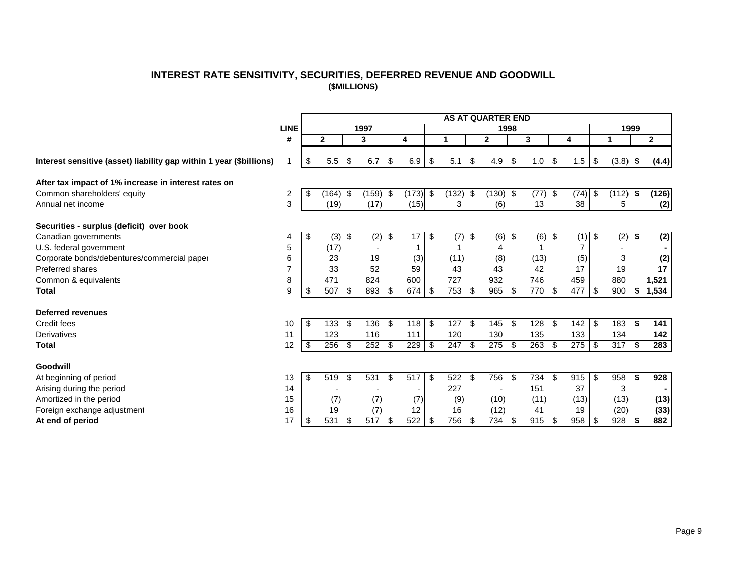### **INTEREST RATE SENSITIVITY, SECURITIES, DEFERRED REVENUE AND GOODWILL (\$MILLIONS)**

<span id="page-9-0"></span>

|                                                                     |                |              |     |          |                  |      |                  |     | <b>AS AT QUARTER END</b> |                         |      |                          |          |     |            |     |                |
|---------------------------------------------------------------------|----------------|--------------|-----|----------|------------------|------|------------------|-----|--------------------------|-------------------------|------|--------------------------|----------|-----|------------|-----|----------------|
|                                                                     | <b>LINE</b>    |              |     | 1997     |                  |      |                  |     |                          | 1998                    |      |                          |          |     | 1999       |     |                |
|                                                                     | #              | $\mathbf{2}$ |     | 3        | 4                |      |                  |     | $\mathbf{2}$             |                         | 3    |                          | 4        |     |            |     | $\mathbf{2}$   |
| Interest sensitive (asset) liability gap within 1 year (\$billions) |                | \$<br>5.5    | \$  | 6.7      | \$<br>6.9        | -\$  | 5.1              | \$  | 4.9                      | \$                      | 1.0  | \$                       | 1.5      | \$  | $(3.8)$ \$ |     | (4.4)          |
| After tax impact of 1% increase in interest rates on                |                |              |     |          |                  |      |                  |     |                          |                         |      |                          |          |     |            |     |                |
| Common shareholders' equity                                         | $\overline{c}$ | \$<br>(164)  | -\$ | (159)    | \$<br>$(173)$ \$ |      | (132)            | \$  | (130)                    | -\$                     | (77) | $\overline{\mathcal{S}}$ | (74)     | \$  | (112)      | \$  | (126)          |
| Annual net income                                                   | 3              | (19)         |     | (17)     | (15)             |      | 3                |     | (6)                      |                         | 13   |                          | 38       |     | 5          |     | (2)            |
| Securities - surplus (deficit) over book                            |                |              |     |          |                  |      |                  |     |                          |                         |      |                          |          |     |            |     |                |
| Canadian governments                                                | 4              | \$<br>(3)    | \$  | $(2)$ \$ | 17               | l \$ | $\overline{(7)}$ | \$  | (6)                      | $\overline{\mathbf{3}}$ | (6)  | \$                       | $(1)$ \$ |     | $(2)$ \$   |     | $\overline{2}$ |
| U.S. federal government                                             | 5              | (17)         |     |          |                  |      |                  |     | 4                        |                         |      |                          |          |     |            |     |                |
| Corporate bonds/debentures/commercial paper                         | 6              | 23           |     | 19       | (3)              |      | (11)             |     | (8)                      |                         | (13) |                          | (5)      |     | 3          |     | (2)            |
| <b>Preferred shares</b>                                             |                | 33           |     | 52       | 59               |      | 43               |     | 43                       |                         | 42   |                          | 17       |     | 19         |     | 17             |
| Common & equivalents                                                | 8              | 471          |     | 824      | 600              |      | 727              |     | 932                      |                         | 746  |                          | 459      |     | 880        |     | 1,521          |
| <b>Total</b>                                                        | 9              | 507          | \$  | 893      | \$<br>674        | l \$ | 753              | -\$ | 965                      | S                       | 770  | \$                       | 477      | -\$ | 900        | \$  | 1,534          |
| <b>Deferred revenues</b>                                            |                |              |     |          |                  |      |                  |     |                          |                         |      |                          |          |     |            |     |                |
| Credit fees                                                         | 10             | \$<br>133    | \$  | 136      | \$<br>118        | l \$ | 127              | \$  | 145                      | \$                      | 128  | \$                       | 142      | \$  | 183        | -\$ | 141            |
| Derivatives                                                         | 11             | 123          |     | 116      | 111              |      | 120              |     | 130                      |                         | 135  |                          | 133      |     | 134        |     | 142            |
| <b>Total</b>                                                        | 12             | \$<br>256    | \$  | 252      | \$<br>229        | l \$ | $\overline{247}$ | \$  | 275                      | \$                      | 263  | \$                       | 275      | -\$ | 317        | -\$ | 283            |
| Goodwill                                                            |                |              |     |          |                  |      |                  |     |                          |                         |      |                          |          |     |            |     |                |
| At beginning of period                                              | 13             | \$<br>519    | \$  | 531      | \$<br>517        | l \$ | 522              | -\$ | 756                      | \$                      | 734  | \$                       | 915      | -\$ | 958        | -\$ | 928            |
| Arising during the period                                           | 14             |              |     |          |                  |      | 227              |     |                          |                         | 151  |                          | 37       |     | 3          |     |                |
| Amortized in the period                                             | 15             | (7)          |     | (7)      | (7)              |      | (9)              |     | (10)                     |                         | (11) |                          | (13)     |     | (13)       |     | (13)           |
| Foreign exchange adjustment                                         | 16             | 19           |     | (7)      | 12               |      | 16               |     | (12)                     |                         | 41   |                          | 19       |     | (20)       |     | (33)           |
| At end of period                                                    | 17             | \$<br>531    | \$  | 517      | \$<br>522        | l \$ | 756              | \$  | 734                      | \$                      | 915  | \$                       | 958      | -\$ | 928        | -\$ | 882            |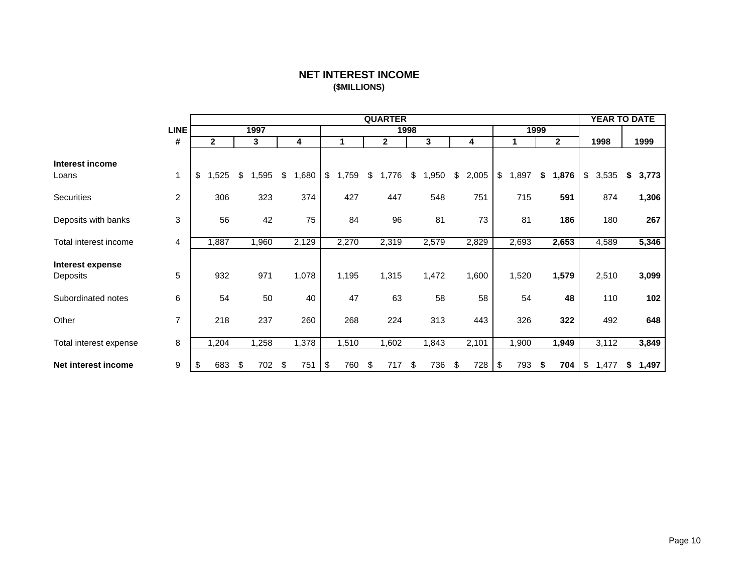# **NET INTEREST INCOME (\$MILLIONS)**

<span id="page-10-0"></span>

|                              |                |              |            |             |     |       | <b>QUARTER</b> |      |       |             |            |      |              | <b>YEAR TO DATE</b> |             |
|------------------------------|----------------|--------------|------------|-------------|-----|-------|----------------|------|-------|-------------|------------|------|--------------|---------------------|-------------|
|                              | <b>LINE</b>    |              | 1997       |             |     |       |                | 1998 |       |             |            | 1999 |              |                     |             |
|                              | #              | $\mathbf{2}$ | 3          | 4           |     | 1     | 2              |      | 3     | 4           | 1          |      | $\mathbf{2}$ | 1998                | 1999        |
| Interest income<br>Loans     | $\mathbf{1}$   | \$<br>,525   | \$<br>,595 | \$<br>1,680 | \$  | 1,759 | \$<br>1,776    | \$   | ,950  | \$<br>2,005 | \$<br>,897 | \$   | 1,876        | \$<br>3,535         | \$<br>3,773 |
| Securities                   | 2              | 306          | 323        | 374         |     | 427   | 447            |      | 548   | 751         | 715        |      | 591          | 874                 | 1,306       |
| Deposits with banks          | 3              | 56           | 42         | 75          |     | 84    | 96             |      | 81    | 73          | 81         |      | 186          | 180                 | 267         |
| Total interest income        | 4              | 1,887        | 1,960      | 2,129       |     | 2,270 | 2,319          |      | 2,579 | 2,829       | 2,693      |      | 2,653        | 4,589               | 5,346       |
| Interest expense<br>Deposits | 5              | 932          | 971        | 1,078       |     | 1,195 | 1,315          |      | 1,472 | 1,600       | 1,520      |      | 1,579        | 2,510               | 3,099       |
| Subordinated notes           | 6              | 54           | 50         | 40          |     | 47    | 63             |      | 58    | 58          | 54         |      | 48           | 110                 | 102         |
| Other                        | $\overline{7}$ | 218          | 237        | 260         |     | 268   | 224            |      | 313   | 443         | 326        |      | 322          | 492                 | 648         |
| Total interest expense       | 8              | 1,204        | ,258       | 1,378       |     | 1,510 | ,602           |      | ,843  | 2,101       | ,900       |      | 1,949        | 3,112               | 3,849       |
| Net interest income          | 9              | \$<br>683    | \$<br>702  | \$<br>751   | -\$ | 760   | \$<br>717      | \$   | 736   | \$<br>728   | \$<br>793  |      | 704          | \$<br>1,477         | \$<br>1,497 |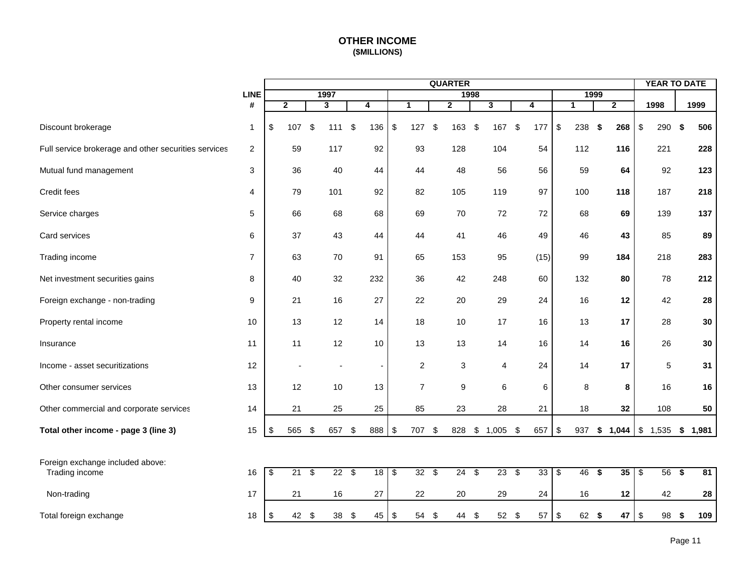# **OTHER INCOME (\$MILLIONS)**

<span id="page-11-0"></span>

|                                                      |                |                                        |                |                           |                         |                          |                  |                         | <b>QUARTER</b> |      |                         |                |                           |              |      |                |                           | <b>YEAR TO DATE</b> |             |
|------------------------------------------------------|----------------|----------------------------------------|----------------|---------------------------|-------------------------|--------------------------|------------------|-------------------------|----------------|------|-------------------------|----------------|---------------------------|--------------|------|----------------|---------------------------|---------------------|-------------|
|                                                      | <b>LINE</b>    |                                        |                |                           | 1997                    |                          |                  |                         |                | 1998 |                         |                |                           | 1999         |      |                |                           |                     |             |
|                                                      | #              |                                        | $\overline{2}$ |                           | $\overline{\mathbf{3}}$ | 4                        | $\mathbf{1}$     |                         | $\overline{2}$ |      | $\overline{\mathbf{3}}$ | $\overline{4}$ |                           | $\mathbf{1}$ |      | $\overline{2}$ |                           | 1998                | 1999        |
| Discount brokerage                                   | $\mathbf{1}$   | \$                                     | 107            | $\boldsymbol{\mathsf{S}}$ | 111                     | \$<br>136                | \$<br>127        | $\sqrt[6]{\frac{1}{2}}$ | 163            | \$   | 167 \$                  | 177            | $\boldsymbol{\mathsf{S}}$ | 238          | - \$ | 268            | $\boldsymbol{\mathsf{S}}$ | 290 \$              | 506         |
| Full service brokerage and other securities services | 2              |                                        | 59             |                           | 117                     | 92                       | 93               |                         | 128            |      | 104                     | 54             |                           | 112          |      | 116            |                           | 221                 | 228         |
| Mutual fund management                               | 3              |                                        | 36             |                           | 40                      | 44                       | 44               |                         | 48             |      | 56                      | 56             |                           | 59           |      | 64             |                           | 92                  | 123         |
| Credit fees                                          | 4              |                                        | 79             |                           | 101                     | 92                       | 82               |                         | 105            |      | 119                     | 97             |                           | 100          |      | 118            |                           | 187                 | 218         |
| Service charges                                      | 5              |                                        | 66             |                           | 68                      | 68                       | 69               |                         | 70             |      | 72                      | 72             |                           | 68           |      | 69             |                           | 139                 | 137         |
| Card services                                        | 6              |                                        | 37             |                           | 43                      | 44                       | 44               |                         | 41             |      | 46                      | 49             |                           | 46           |      | 43             |                           | 85                  | 89          |
| Trading income                                       | $\overline{7}$ |                                        | 63             |                           | 70                      | 91                       | 65               |                         | 153            |      | 95                      | (15)           |                           | 99           |      | 184            |                           | 218                 | 283         |
| Net investment securities gains                      | 8              |                                        | 40             |                           | 32                      | 232                      | 36               |                         | 42             |      | 248                     | 60             |                           | 132          |      | 80             |                           | 78                  | 212         |
| Foreign exchange - non-trading                       | 9              |                                        | 21             |                           | 16                      | 27                       | 22               |                         | 20             |      | 29                      | 24             |                           | 16           |      | 12             |                           | 42                  | 28          |
| Property rental income                               | 10             |                                        | 13             |                           | 12                      | 14                       | 18               |                         | 10             |      | 17                      | 16             |                           | 13           |      | 17             |                           | 28                  | 30          |
| Insurance                                            | 11             |                                        | 11             |                           | 12                      | 10                       | 13               |                         | 13             |      | 14                      | 16             |                           | 14           |      | 16             |                           | 26                  | 30          |
| Income - asset securitizations                       | 12             |                                        |                |                           |                         | $\overline{\phantom{a}}$ | $\boldsymbol{2}$ |                         | 3              |      | 4                       | 24             |                           | 14           |      | 17             |                           | $\overline{5}$      | 31          |
| Other consumer services                              | 13             |                                        | 12             |                           | 10                      | 13                       | $\overline{7}$   |                         | 9              |      | 6                       | 6              |                           | 8            |      | 8              |                           | 16                  | 16          |
| Other commercial and corporate services              | 14             |                                        | 21             |                           | 25                      | 25                       | 85               |                         | 23             |      | 28                      | 21             |                           | 18           |      | 32             |                           | 108                 | 50          |
| Total other income - page 3 (line 3)                 | 15             | \$                                     | 565            | \$                        | 657                     | \$<br>888                | \$<br>707        | \$                      | 828            |      | \$1,005                 | \$<br>657      | \$                        | 937          |      | \$1,044        | $\mathfrak s$             | 1,535               | \$<br>1,981 |
|                                                      |                |                                        |                |                           |                         |                          |                  |                         |                |      |                         |                |                           |              |      |                |                           |                     |             |
| Foreign exchange included above:                     |                |                                        |                |                           |                         |                          |                  |                         |                |      |                         |                |                           |              |      |                |                           |                     |             |
| Trading income                                       | 16             | $\overline{\boldsymbol{\mathfrak{s}}}$ | $21 \quad$     |                           | $22 \quad $$            | 18                       | \$<br>$32 \quad$ |                         | $24$ \$        |      | $23 \quad $$            | 33             | $\overline{\mathfrak{s}}$ | $46$ \$      |      | $35  $ \$      |                           | 56 <sup>5</sup>     | 81          |
| Non-trading                                          | 17             |                                        | 21             |                           | 16                      | 27                       | 22               |                         | 20             |      | 29                      | 24             |                           | 16           |      | 12             |                           | 42                  | 28          |
| Total foreign exchange                               | 18             | \$                                     | 42             | \$                        | 38                      | \$<br>45                 | \$<br>54         | \$                      | 44             | \$   | 52 \$                   | 57             | $\sqrt[6]{\frac{1}{2}}$   | 62 \$        |      | 47             | \$                        | 98                  | \$<br>109   |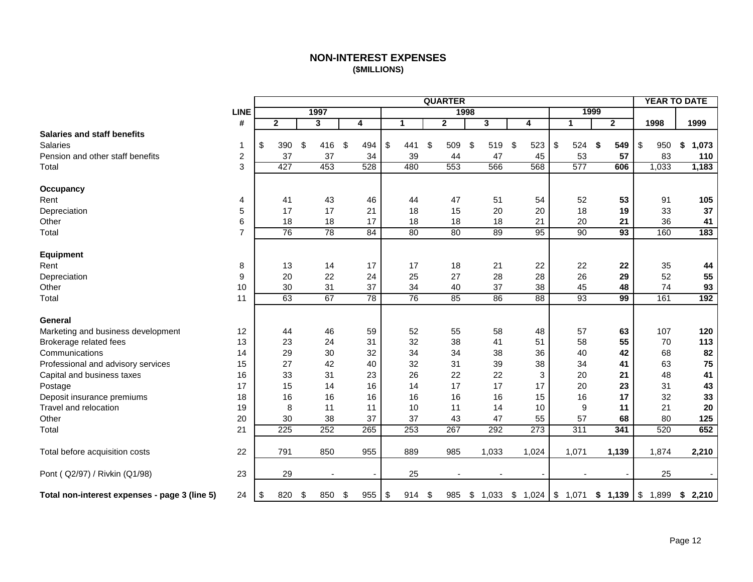# **NON-INTEREST EXPENSES (\$MILLIONS)**

<span id="page-12-0"></span>

|                                               |                |              |                          |           |             | <b>QUARTER</b> |             |                 |              |              |            |            | <b>YEAR TO DATE</b> |
|-----------------------------------------------|----------------|--------------|--------------------------|-----------|-------------|----------------|-------------|-----------------|--------------|--------------|------------|------------|---------------------|
|                                               | <b>LINE</b>    |              | 1997                     |           |             | 1998           |             |                 | 1999         |              |            |            |                     |
|                                               | #              | $\mathbf{2}$ | 3                        | 4         | $\mathbf 1$ | $\mathbf{2}$   | 3           | 4               | $\mathbf{1}$ | $\mathbf{2}$ |            | 1998       | 1999                |
| <b>Salaries and staff benefits</b>            |                |              |                          |           |             |                |             |                 |              |              |            |            |                     |
| Salaries                                      | 1              | \$<br>390    | \$<br>416                | \$<br>494 | \$<br>441   | \$<br>509      | \$<br>519   | \$<br>523       | \$<br>524    | \$<br>549    | \$         | 950        | \$<br>1,073         |
| Pension and other staff benefits              | $\overline{c}$ | 37           | 37                       | 34        | 39          | 44             | 47          | 45              | 53           | 57           |            | 83         | 110                 |
| Total                                         | 3              | 427          | 453                      | 528       | 480         | 553            | 566         | 568             | 577          | 606          |            | 1,033      | 1,183               |
| Occupancy                                     |                |              |                          |           |             |                |             |                 |              |              |            |            |                     |
| Rent                                          | 4              | 41           | 43                       | 46        | 44          | 47             | 51          | 54              | 52           | 53           |            | 91         | 105                 |
| Depreciation                                  | 5              | 17           | 17                       | 21        | 18          | 15             | 20          | 20              | 18           | 19           |            | 33         | 37                  |
| Other                                         | 6              | 18           | 18                       | 17        | 18          | 18             | 18          | 21              | 20           | 21           |            | 36         | 41                  |
| Total                                         | 7              | 76           | 78                       | 84        | 80          | 80             | 89          | 95              | 90           | 93           |            | 160        | 183                 |
|                                               |                |              |                          |           |             |                |             |                 |              |              |            |            |                     |
| <b>Equipment</b>                              |                |              |                          |           |             |                |             |                 |              |              |            |            |                     |
| Rent                                          | 8              | 13           | 14                       | 17        | 17          | 18             | 21          | 22              | 22           | 22           |            | 35         | 44                  |
| Depreciation                                  | 9              | 20           | 22                       | 24        | 25          | 27             | 28          | 28              | 26           | 29           |            | 52         | 55                  |
| Other                                         | 10             | 30           | 31                       | 37        | 34          | 40             | 37          | 38              | 45           | 48           |            | 74         | 93                  |
| Total                                         | 11             | 63           | 67                       | 78        | 76          | 85             | 86          | $\overline{88}$ | 93           | 99           |            | 161        | 192                 |
|                                               |                |              |                          |           |             |                |             |                 |              |              |            |            |                     |
| General                                       |                |              |                          |           |             |                |             |                 |              |              |            |            |                     |
| Marketing and business development            | 12             | 44           | 46                       | 59        | 52          | 55             | 58          | 48              | 57           | 63           |            | 107        | 120                 |
| Brokerage related fees                        | 13             | 23           | 24                       | 31        | 32          | 38             | 41          | 51              | 58           | 55           |            | 70         | 113                 |
| Communications                                | 14             | 29           | 30                       | 32        | 34          | 34             | 38          | 36              | 40           | 42           |            | 68         | 82                  |
| Professional and advisory services            | 15             | 27           | 42                       | 40        | 32          | 31             | 39          | 38              | 34           | 41           |            | 63         | 75                  |
| Capital and business taxes                    | 16             | 33           | 31                       | 23        | 26          | 22             | 22          | 3               | 20           | 21           |            | 48         | 41                  |
| Postage                                       | 17             | 15           | 14                       | 16        | 14          | 17             | 17          | 17              | 20           | 23           |            | 31         | 43                  |
| Deposit insurance premiums                    | 18             | 16           | 16                       | 16        | 16          | 16             | 16          | 15              | 16           | 17           |            | 32         | 33                  |
| Travel and relocation                         | 19             | 8            | 11                       | 11        | 10          | 11             | 14          | 10              | 9            | 11           |            | 21         | 20                  |
| Other                                         | 20             | 30           | 38                       | 37        | 37          | 43             | 47          | 55              | 57           | 68           |            | 80         | 125                 |
| Total                                         | 21             | 225          | 252                      | 265       | 253         | 267            | 292         | 273             | 311          | 341          |            | 520        | 652                 |
| Total before acquisition costs                | 22             | 791          | 850                      | 955       | 889         | 985            | 1,033       | 1,024           | 1,071        | 1,139        |            | 1,874      | 2,210               |
| Pont ( Q2/97) / Rivkin (Q1/98)                | 23             | 29           | $\overline{\phantom{a}}$ |           | 25          |                |             |                 |              |              |            | 25         |                     |
| Total non-interest expenses - page 3 (line 5) | 24             | \$<br>820    | \$<br>850                | \$<br>955 | \$<br>914   | \$<br>985      | \$<br>1,033 |                 | 1,071        | \$1,139      | $\sqrt{3}$ | $1,899$ \$ | 2,210               |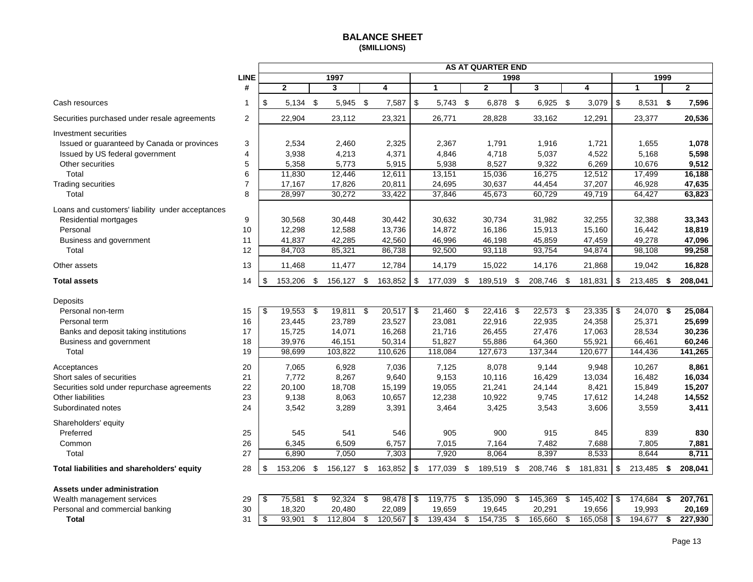### **BALANCE SHEET (\$MILLIONS)**

<span id="page-13-0"></span>

|                                                  |                |      |              |      |              |                         |            |              |     | <b>AS AT QUARTER END</b> |      |            |                    |     |              |      |              |
|--------------------------------------------------|----------------|------|--------------|------|--------------|-------------------------|------------|--------------|-----|--------------------------|------|------------|--------------------|-----|--------------|------|--------------|
|                                                  | <b>LINE</b>    |      |              |      | 1997         |                         |            |              |     |                          | 1998 |            |                    |     |              | 1999 |              |
|                                                  | #              |      | $\mathbf{2}$ |      | 3            | $\overline{\mathbf{4}}$ |            | $\mathbf{1}$ |     | $\overline{2}$           |      | 3          | 4                  |     | $\mathbf{1}$ |      | $\mathbf{2}$ |
| Cash resources                                   | 1              | \$   | $5,134$ \$   |      | 5,945 \$     | 7,587                   | $\,$       | 5,743 \$     |     | 6,878 \$                 |      | $6,925$ \$ | 3,079              | \$  | $8,531$ \$   |      | 7,596        |
| Securities purchased under resale agreements     | 2              |      | 22,904       |      | 23,112       | 23,321                  |            | 26,771       |     | 28,828                   |      | 33,162     | 12,291             |     | 23,377       |      | 20,536       |
| Investment securities                            |                |      |              |      |              |                         |            |              |     |                          |      |            |                    |     |              |      |              |
| Issued or guaranteed by Canada or provinces      | 3              |      | 2,534        |      | 2,460        | 2,325                   |            | 2,367        |     | 1,791                    |      | 1,916      | 1,721              |     | 1,655        |      | 1,078        |
| Issued by US federal government                  | 4              |      | 3,938        |      | 4,213        | 4,371                   |            | 4,846        |     | 4,718                    |      | 5,037      | 4,522              |     | 5,168        |      | 5,598        |
| Other securities                                 | 5              |      | 5,358        |      | 5,773        | 5,915                   |            | 5,938        |     | 8,527                    |      | 9,322      | 6,269              |     | 10,676       |      | 9,512        |
| Total                                            | 6              |      | 11,830       |      | 12,446       | 12,611                  |            | 13,151       |     | 15,036                   |      | 16,275     | 12,512             |     | 17,499       |      | 16,188       |
| <b>Trading securities</b>                        | $\overline{7}$ |      | 17,167       |      | 17,826       | 20,811                  |            | 24,695       |     | 30,637                   |      | 44,454     | 37,207             |     | 46,928       |      | 47,635       |
| Total                                            | 8              |      | 28,997       |      | 30,272       | 33,422                  |            | 37,846       |     | 45,673                   |      | 60,729     | 49,719             |     | 64,427       |      | 63,823       |
| Loans and customers' liability under acceptances |                |      |              |      |              |                         |            |              |     |                          |      |            |                    |     |              |      |              |
| Residential mortgages                            | 9              |      | 30,568       |      | 30,448       | 30,442                  |            | 30,632       |     | 30.734                   |      | 31,982     | 32,255             |     | 32,388       |      | 33,343       |
| Personal                                         | 10             |      | 12,298       |      | 12,588       | 13,736                  |            | 14,872       |     | 16,186                   |      | 15,913     | 15,160             |     | 16,442       |      | 18,819       |
| Business and government                          | 11             |      | 41,837       |      | 42,285       | 42,560                  |            | 46,996       |     | 46,198                   |      | 45,859     | 47,459             |     | 49,278       |      | 47,096       |
| Total                                            | 12             |      | 84,703       |      | 85,321       | 86,738                  |            | 92,500       |     | 93,118                   |      | 93,754     | 94,874             |     | 98,108       |      | 99,258       |
| Other assets                                     | 13             |      | 11,468       |      | 11,477       | 12,784                  |            | 14,179       |     | 15,022                   |      | 14,176     | 21,868             |     | 19,042       |      | 16,828       |
| <b>Total assets</b>                              | 14             | \$   | 153,206 \$   |      | 156,127 \$   | 163,852                 | $\sqrt{3}$ | 177,039 \$   |     | 189,519 \$               |      | 208,746 \$ | 181,831            | \$  | 213,485 \$   |      | 208,041      |
| Deposits                                         |                |      |              |      |              |                         |            |              |     |                          |      |            |                    |     |              |      |              |
| Personal non-term                                | 15             | \$   | 19,553       | - \$ | $19,811$ \$  | 20,517                  | \$         | 21,460       | \$  | 22,416                   | - \$ | 22,573     | \$<br>23,335       | -\$ | 24,070       | - \$ | 25,084       |
| Personal term                                    | 16             |      | 23,445       |      | 23,789       | 23,527                  |            | 23,081       |     | 22,916                   |      | 22,935     | 24,358             |     | 25,371       |      | 25,699       |
| Banks and deposit taking institutions            | 17             |      | 15,725       |      | 14,071       | 16,268                  |            | 21,716       |     | 26,455                   |      | 27,476     | 17,063             |     | 28,534       |      | 30,236       |
| Business and government                          | 18             |      | 39,976       |      | 46,151       | 50,314                  |            | 51,827       |     | 55,886                   |      | 64,360     | 55,921             |     | 66,461       |      | 60,246       |
| Total                                            | 19             |      | 98,699       |      | 103,822      | 110,626                 |            | 118,084      |     | 127,673                  |      | 137,344    | 120,677            |     | 144,436      |      | 141,265      |
| Acceptances                                      | 20             |      | 7,065        |      | 6,928        | 7,036                   |            | 7,125        |     | 8,078                    |      | 9,144      | 9,948              |     | 10,267       |      | 8,861        |
| Short sales of securities                        | 21             |      | 7,772        |      | 8,267        | 9,640                   |            | 9,153        |     | 10,116                   |      | 16,429     | 13,034             |     | 16,482       |      | 16,034       |
| Securities sold under repurchase agreements      | 22             |      | 20,100       |      | 18,708       | 15,199                  |            | 19,055       |     | 21,241                   |      | 24,144     | 8,421              |     | 15,849       |      | 15,207       |
| <b>Other liabilities</b>                         | 23             |      | 9,138        |      | 8,063        | 10,657                  |            | 12,238       |     | 10,922                   |      | 9,745      | 17,612             |     | 14,248       |      | 14,552       |
| Subordinated notes                               | 24             |      | 3,542        |      | 3,289        | 3,391                   |            | 3,464        |     | 3,425                    |      | 3,543      | 3,606              |     | 3,559        |      | 3,411        |
| Shareholders' equity                             |                |      |              |      |              |                         |            |              |     |                          |      |            |                    |     |              |      |              |
| Preferred                                        | 25             |      | 545          |      | 541          | 546                     |            | 905          |     | 900                      |      | 915        | 845                |     | 839          |      | 830          |
| Common                                           | 26             |      | 6,345        |      | 6,509        | 6,757                   |            | 7,015        |     | 7,164                    |      | 7,482      | 7,688              |     | 7,805        |      | 7,881        |
| Total                                            | 27             |      | 6,890        |      | 7,050        | 7,303                   |            | 7,920        |     | 8,064                    |      | 8,397      | 8,533              |     | 8,644        |      | 8,711        |
| Total liabilities and shareholders' equity       | 28             | \$   | 153,206 \$   |      | 156,127 \$   | 163,852                 | \$         | 177,039      | \$  | 189,519 \$               |      | 208,746    | \$<br>181,831      | \$  | 213,485      | -\$  | 208,041      |
| Assets under administration                      |                |      |              |      |              |                         |            |              |     |                          |      |            |                    |     |              |      |              |
| Wealth management services                       | 29             | \$   | 75,581       | - \$ | $92,324$ \$  | 98,478                  | \$         | 119,775      | -\$ | 135,090                  | \$   | 145,369    | \$<br>145,402      | \$  | 174,684      | - \$ | 207,761      |
| Personal and commercial banking                  | 30             |      | 18,320       |      | 20,480       | 22,089                  |            | 19,659       |     | 19,645                   |      | 20,291     | 19,656             |     | 19,993       |      | 20,169       |
| <b>Total</b>                                     | 31             | l \$ | 93,901       | \$   | $112,804$ \$ | $120,567$ \$            |            | $139,434$ \$ |     | $154,735$ \$             |      | 165,660    | \$<br>$165,058$ \$ |     | 194,677      | \$   | 227,930      |

| Wealth management services      | 29 | 75.581 | 92.324  | 98,478 \$ | 119.775 | 135.090 | 145.369 | 145.402 I \$ | 174.684 | 207,761 |
|---------------------------------|----|--------|---------|-----------|---------|---------|---------|--------------|---------|---------|
| Personal and commercial banking |    | 18.320 | 20,480  | 22.089    | 19,659  | 19,645  | 20.291  | 19,656       | 19,993  | 20,169  |
| Total                           |    | 93.901 | 112.804 | 120.567   | 139.434 | 154.735 | 165.660 | 165.058 S    | 194.677 | 227.930 |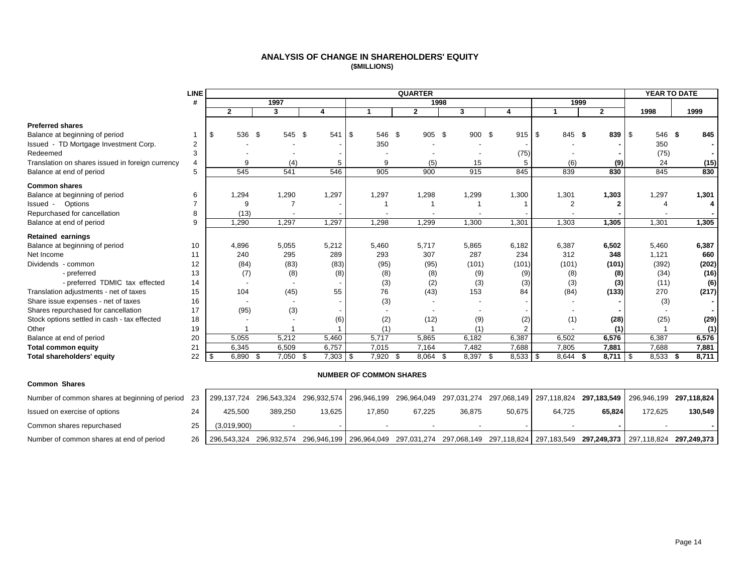#### **ANALYSIS OF CHANGE IN SHAREHOLDERS' EQUITY (\$MILLIONS)**

<span id="page-14-0"></span>

|                                                  | <b>LINE</b>    |     |              |      |        |                    |            |                                | <b>QUARTER</b> |              |       |              |       |                |              |              |                | YEAR TO DATE   |       |
|--------------------------------------------------|----------------|-----|--------------|------|--------|--------------------|------------|--------------------------------|----------------|--------------|-------|--------------|-------|----------------|--------------|--------------|----------------|----------------|-------|
|                                                  | #              |     |              |      | 1997   |                    |            |                                |                | 1998         |       |              |       |                |              | 1999         |                |                |       |
|                                                  |                |     | $\mathbf{2}$ |      | 3      | 4                  |            |                                | $\mathbf{2}$   |              | 3     |              | 4     |                |              | $\mathbf{2}$ |                | 1998           | 1999  |
| <b>Preferred shares</b>                          |                |     |              |      |        |                    |            |                                |                |              |       |              |       |                |              |              |                |                |       |
| Balance at beginning of period                   |                | \$  | 536          | - \$ | 545 \$ | 541                | $\sqrt{3}$ | 546                            | - \$           | 905 \$       |       | 900 \$       |       | 915            | \$<br>845 \$ |              | 839            | 546 \$<br>- \$ | 845   |
| Issued - TD Mortgage Investment Corp.            | 2              |     |              |      |        |                    |            | 350                            |                |              |       |              |       |                |              |              |                | 350            |       |
| Redeemed                                         | 3              |     |              |      |        |                    |            |                                |                |              |       |              |       | (75)           |              |              |                | (75)           |       |
| Translation on shares issued in foreign currency | 4              |     | 9            |      | (4)    | 5                  |            | 9                              |                | (5)          |       | 15           |       | 5              | (6)          |              | (9)            | 24             | (15)  |
| Balance at end of period                         | 5              |     | 545          |      | 541    | 546                |            | 905                            |                | 900          |       | 915          |       | 845            | 839          |              | 830            | 845            | 830   |
| <b>Common shares</b>                             |                |     |              |      |        |                    |            |                                |                |              |       |              |       |                |              |              |                |                |       |
| Balance at beginning of period                   | 6              |     | 1,294        |      | 1,290  | 1,297              |            | 1,297                          |                | 1,298        | 1,299 |              | 1,300 |                | 1,301        |              | 1,303          | 1,297          | 1,301 |
| Issued - Options                                 | $\overline{7}$ |     | 9            |      |        |                    |            |                                |                |              |       |              |       |                | 2            |              | $\overline{2}$ |                | 4     |
| Repurchased for cancellation                     | 8              |     | (13)         |      |        |                    |            |                                |                |              |       |              |       |                |              |              |                |                |       |
| Balance at end of period                         | 9              |     | 1,290        |      | 1,297  | 1,297              |            | 1,298                          |                | 1,299        | 1,300 |              | 1,301 |                | 1,303        |              | 1,305          | 1,301          | 1,305 |
| <b>Retained earnings</b>                         |                |     |              |      |        |                    |            |                                |                |              |       |              |       |                |              |              |                |                |       |
| Balance at beginning of period                   | 10             |     | 4,896        |      | 5,055  | 5,212              |            | 5,460                          |                | 5.717        |       | 5,865        | 6,182 |                | 6,387        |              | 6,502          | 5,460          | 6,387 |
| Net Income                                       | 11             |     | 240          |      | 295    | 289                |            | 293                            |                | 307          |       | 287          |       | 234            | 312          |              | 348            | 1,121          | 660   |
| Dividends - common                               | 12             |     | (84)         |      | (83)   | (83)               |            | (95)                           |                | (95)         |       | (101)        | (101) |                | (101)        |              | (101)          | (392)          | (202) |
| - preferred                                      | 13             |     | (7)          |      | (8)    | (8)                |            | (8)                            |                | (8)          |       | (9)          |       | (9)            | (8)          |              | (8)            | (34)           | (16)  |
| - preferred TDMIC tax effected                   | 14             |     |              |      |        |                    |            | (3)                            |                | (2)          |       | (3)          |       | (3)            | (3)          |              | (3)            | (11)           | (6)   |
| Translation adjustments - net of taxes           | 15             |     | 104          |      | (45)   | 55                 |            | 76                             |                | (43)         |       | 153          |       | 84             | (84)         |              | (133)          | 270            | (217) |
| Share issue expenses - net of taxes              | 16             |     |              |      |        |                    |            | (3)                            |                |              |       |              |       |                |              |              |                | (3)            |       |
| Shares repurchased for cancellation              | 17             |     | (95)         |      | (3)    |                    |            |                                |                |              |       |              |       |                |              |              |                |                |       |
| Stock options settled in cash - tax effected     | 18             |     |              |      |        | (6)                |            | (2)                            |                | (12)         |       | (9)          |       | (2)            | (1)          |              | (28)           | (25)           | (29)  |
| Other                                            | 19             |     |              |      |        |                    |            | (1)                            |                |              |       | (1)          |       | $\overline{2}$ |              |              | (1)            |                | (1)   |
| Balance at end of period                         | 20             |     | 5,055        |      | 5,212  | 5,460              |            | 5,717                          |                | 5,865        | 6,182 |              | 6,387 |                | 6,502        |              | 6,576          | 6,387          | 6,576 |
| <b>Total common equity</b>                       | 21             |     | 6,345        |      | 6,509  | 6,757              |            | 7,015                          |                | 7,164        |       | 7,482        | 7,688 |                | 7,805        |              | 7,881          | 7,688          | 7,881 |
| Total shareholders' equity                       | 22             | -\$ | $6,890$ \$   |      | 7,050  | $7,303$ \$<br>- \$ |            | 7,920 \$                       |                | 8,064<br>-\$ |       | 8,397<br>-\$ |       | $8,533$ \$     | 8,644 \$     |              | $8,711$ \ \$   | $8,533$ \$     | 8,711 |
|                                                  |                |     |              |      |        |                    |            | <b>NUMBER OF COMMON SHARES</b> |                |              |       |              |       |                |              |              |                |                |       |
| <b>Common Shares</b>                             |                |     |              |      |        |                    |            |                                |                |              |       |              |       |                |              |              |                |                |       |

| Number of common shares at beginning of period 23   299,137,724 296,543,324 296,932,574   296,946,199 296,964,049 297,031,274 297,068,149   297,118,824 297,1183,549   296,946,199 297,118,824   296,946,199 297,118,824   297 |             |         |        |        |        |        |        |        |        |                                                                                                                                        |         |
|--------------------------------------------------------------------------------------------------------------------------------------------------------------------------------------------------------------------------------|-------------|---------|--------|--------|--------|--------|--------|--------|--------|----------------------------------------------------------------------------------------------------------------------------------------|---------|
| Issued on exercise of options                                                                                                                                                                                                  | 425.500     | 389.250 | 13.625 | 17.850 | 67.225 | 36.875 | 50.675 | 64.725 | 65.824 | 172.625                                                                                                                                | 130,549 |
| Common shares repurchased                                                                                                                                                                                                      | (3,019,900) |         |        |        |        |        |        |        |        |                                                                                                                                        |         |
| Number of common shares at end of period                                                                                                                                                                                       |             |         |        |        |        |        |        |        |        | 26 286,543,324 296,932,574 296,946,199 296,964,049 297,031,274 297,068,149 297,118,824 297,183,549 297,249,373 297,118,824 297,183,549 |         |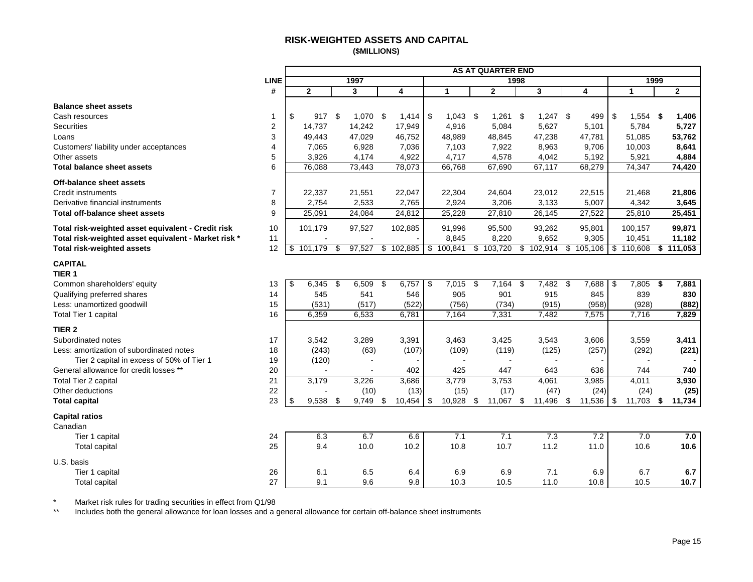### **RISK-WEIGHTED ASSETS AND CAPITAL (\$MILLIONS)**

<span id="page-15-0"></span>

|                                                      |                |               |                  |             |                          | <b>AS AT QUARTER END</b> |      |            |     |           |               |     |                |
|------------------------------------------------------|----------------|---------------|------------------|-------------|--------------------------|--------------------------|------|------------|-----|-----------|---------------|-----|----------------|
|                                                      | <b>LINE</b>    |               | 1997             |             |                          | 1998                     |      |            |     |           | 1999          |     |                |
|                                                      | #              | $\mathbf{2}$  | 3                | 4           | 1                        | $\overline{2}$           |      | 3          |     | 4         | $\mathbf{1}$  |     | $\overline{2}$ |
| <b>Balance sheet assets</b>                          |                |               |                  |             |                          |                          |      |            |     |           |               |     |                |
| Cash resources                                       | -1             | \$<br>917     | \$<br>1,070 \$   | 1,414       | \$<br>1,043              | \$<br>1,261              | -\$  | $1,247$ \$ |     | 499       | \$<br>1,554   | -\$ | 1,406          |
| <b>Securities</b>                                    | 2              | 14,737        | 14,242           | 17,949      | 4,916                    | 5,084                    |      | 5,627      |     | 5,101     | 5,784         |     | 5,727          |
| Loans                                                | 3              | 49,443        | 47,029           | 46,752      | 48,989                   | 48,845                   |      | 47,238     |     | 47,781    | 51,085        |     | 53,762         |
| Customers' liability under acceptances               | $\overline{4}$ | 7,065         | 6,928            | 7,036       | 7,103                    | 7,922                    |      | 8,963      |     | 9,706     | 10,003        |     | 8,641          |
| Other assets                                         | 5              | 3,926         | 4,174            | 4,922       | 4,717                    | 4,578                    |      | 4,042      |     | 5,192     | 5,921         |     | 4,884          |
| <b>Total balance sheet assets</b>                    | 6              | 76,088        | 73,443           | 78,073      | 66,768                   | 67,690                   |      | 67,117     |     | 68,279    | 74,347        |     | 74,420         |
| Off-balance sheet assets                             |                |               |                  |             |                          |                          |      |            |     |           |               |     |                |
| <b>Credit instruments</b>                            | $\overline{7}$ | 22,337        | 21,551           | 22,047      | 22,304                   | 24,604                   |      | 23,012     |     | 22,515    | 21,468        |     | 21,806         |
| Derivative financial instruments                     | 8              | 2,754         | 2,533            | 2,765       | 2,924                    | 3,206                    |      | 3,133      |     | 5,007     | 4,342         |     | 3,645          |
| Total off-balance sheet assets                       | 9              | 25,091        | 24,084           | 24,812      | 25,228                   | 27,810                   |      | 26,145     |     | 27,522    | 25,810        |     | 25,451         |
| Total risk-weighted asset equivalent - Credit risk   | 10             | 101,179       | 97,527           | 102,885     | 91,996                   | 95,500                   |      | 93,262     |     | 95,801    | 100,157       |     | 99,871         |
| Total risk-weighted asset equivalent - Market risk * | 11             | $\sim$        | $\sim$           |             | 8,845                    | 8,220                    |      | 9,652      |     | 9,305     | 10,451        |     | 11,182         |
| Total risk-weighted assets                           | 12             | \$<br>101,179 | \$<br>97,527     | \$102,885   | \$100,841                | \$<br>103,720            | \$   | 102,914    |     | \$105,106 | \$<br>110,608 |     | \$111,053      |
| <b>CAPITAL</b><br>TIER <sub>1</sub>                  |                |               |                  |             |                          |                          |      |            |     |           |               |     |                |
| Common shareholders' equity                          | 13             | \$<br>6,345   | \$<br>6,509      | \$<br>6,757 | \$<br>7,015              | \$<br>7,164              | \$   | 7,482      | -\$ | 7,688     | \$<br>7,805   | \$  | 7,881          |
| Qualifying preferred shares                          | 14             | 545           | 541              | 546         | 905                      | 901                      |      | 915        |     | 845       | 839           |     | 830            |
| Less: unamortized goodwill                           | 15             | (531)         | (517)            | (522)       | (756)                    | (734)                    |      | (915)      |     | (958)     | (928)         |     | (882)          |
| Total Tier 1 capital                                 | 16             | 6,359         | 6,533            | 6,781       | 7,164                    | 7,331                    |      | 7,482      |     | 7,575     | 7,716         |     | 7,829          |
| TIER <sub>2</sub>                                    |                |               |                  |             |                          |                          |      |            |     |           |               |     |                |
| Subordinated notes                                   | 17             | 3,542         | 3,289            | 3,391       | 3,463                    | 3,425                    |      | 3,543      |     | 3,606     | 3,559         |     | 3,411          |
| Less: amortization of subordinated notes             | 18             | (243)         | (63)             | (107)       | (109)                    | (119)                    |      | (125)      |     | (257)     | (292)         |     | (221)          |
| Tier 2 capital in excess of 50% of Tier 1            | 19             | (120)         |                  |             | $\overline{\phantom{a}}$ | $\blacksquare$           |      |            |     |           | $\sim$        |     |                |
| General allowance for credit losses **               | 20             |               |                  | 402         | 425                      | 447                      |      | 643        |     | 636       | 744           |     | 740            |
| Total Tier 2 capital                                 | 21             | 3,179         | 3,226            | 3,686       | 3,779                    | 3,753                    |      | 4,061      |     | 3,985     | 4,011         |     | 3,930          |
| Other deductions                                     | 22             |               | (10)             | (13)        | (15)                     | (17)                     |      | (47)       |     | (24)      | (24)          |     | (25)           |
| <b>Total capital</b>                                 | 23             | \$<br>9,538   | \$<br>$9,749$ \$ | 10,454      | \$<br>10,928             | \$<br>11,067             | - \$ | 11,496 \$  |     | 11,536    | \$<br>11,703  | \$  | 11,734         |
| <b>Capital ratios</b><br>Canadian                    |                |               |                  |             |                          |                          |      |            |     |           |               |     |                |
| Tier 1 capital                                       | 24             | 6.3           | 6.7              | 6.6         | 7.1                      | 7.1                      |      | 7.3        |     | 7.2       | 7.0           |     | 7.0            |
| <b>Total capital</b>                                 | 25             | 9.4           | 10.0             | 10.2        | 10.8                     | 10.7                     |      | 11.2       |     | 11.0      | 10.6          |     | 10.6           |
| U.S. basis                                           |                |               |                  |             |                          |                          |      |            |     |           |               |     |                |
| Tier 1 capital                                       | 26             | 6.1           | 6.5              | 6.4         | 6.9                      | 6.9                      |      | 7.1        |     | 6.9       | 6.7           |     | 6.7            |
| Total capital                                        | 27             | 9.1           | 9.6              | 9.8         | 10.3                     | 10.5                     |      | 11.0       |     | 10.8      | 10.5          |     | 10.7           |

\* Market risk rules for trading securities in effect from Q1/98

Includes both the general allowance for loan losses and a general allowance for certain off-balance sheet instruments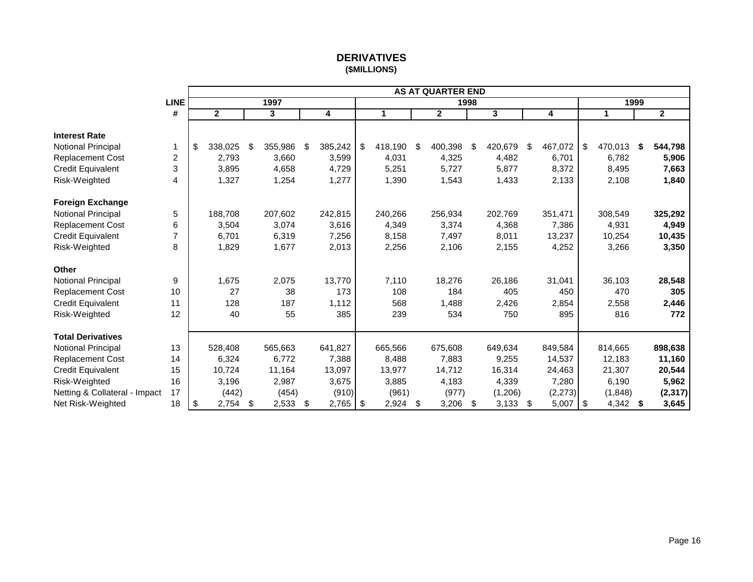# **DERIVATIVES (\$MILLIONS)**

<span id="page-16-0"></span>

|                               |             |                         |               |               |            |         | <b>AS AT QUARTER END</b> |      |                         |               |      |         |      |                |
|-------------------------------|-------------|-------------------------|---------------|---------------|------------|---------|--------------------------|------|-------------------------|---------------|------|---------|------|----------------|
|                               | <b>LINE</b> |                         | 1997          |               |            |         |                          | 1998 |                         |               |      |         | 1999 |                |
|                               | #           | $\overline{\mathbf{2}}$ | 3             | 4             |            | 1       | $\mathbf{2}$             |      | $\overline{\mathbf{3}}$ | 4             |      | 1       |      | $\overline{2}$ |
|                               |             |                         |               |               |            |         |                          |      |                         |               |      |         |      |                |
| <b>Interest Rate</b>          |             |                         |               |               |            |         |                          |      |                         |               |      |         |      |                |
| Notional Principal            | 1           | \$<br>338,025           | \$<br>355,986 | \$<br>385,242 | \$         | 418,190 | \$<br>400,398            | \$   | 420,679                 | \$<br>467,072 | \$   | 470,013 | \$   | 544,798        |
| <b>Replacement Cost</b>       | 2           | 2,793                   | 3,660         | 3,599         |            | 4,031   | 4,325                    |      | 4,482                   | 6,701         |      | 6,782   |      | 5,906          |
| <b>Credit Equivalent</b>      | 3           | 3,895                   | 4,658         | 4,729         |            | 5,251   | 5,727                    |      | 5,877                   | 8,372         |      | 8,495   |      | 7,663          |
| Risk-Weighted                 | 4           | 1,327                   | 1,254         | 1,277         |            | 1,390   | 1,543                    |      | 1,433                   | 2,133         |      | 2,108   |      | 1,840          |
| <b>Foreign Exchange</b>       |             |                         |               |               |            |         |                          |      |                         |               |      |         |      |                |
| Notional Principal            | 5           | 188,708                 | 207,602       | 242,815       |            | 240,266 | 256,934                  |      | 202,769                 | 351,471       |      | 308,549 |      | 325,292        |
| Replacement Cost              | 6           | 3,504                   | 3,074         | 3,616         |            | 4,349   | 3,374                    |      | 4,368                   | 7,386         |      | 4,931   |      | 4,949          |
| <b>Credit Equivalent</b>      | 7           | 6,701                   | 6,319         | 7,256         |            | 8,158   | 7,497                    |      | 8,011                   | 13,237        |      | 10,254  |      | 10,435         |
| Risk-Weighted                 | 8           | 1,829                   | 1,677         | 2,013         |            | 2,256   | 2,106                    |      | 2,155                   | 4,252         |      | 3,266   |      | 3,350          |
| <b>Other</b>                  |             |                         |               |               |            |         |                          |      |                         |               |      |         |      |                |
| Notional Principal            | 9           | 1,675                   | 2,075         | 13,770        |            | 7,110   | 18,276                   |      | 26,186                  | 31,041        |      | 36,103  |      | 28,548         |
| Replacement Cost              | 10          | 27                      | 38            | 173           |            | 108     | 184                      |      | 405                     | 450           |      | 470     |      | 305            |
| Credit Equivalent             | 11          | 128                     | 187           | 1,112         |            | 568     | 1,488                    |      | 2,426                   | 2,854         |      | 2,558   |      | 2,446          |
| Risk-Weighted                 | 12          | 40                      | 55            | 385           |            | 239     | 534                      |      | 750                     | 895           |      | 816     |      | 772            |
| <b>Total Derivatives</b>      |             |                         |               |               |            |         |                          |      |                         |               |      |         |      |                |
| Notional Principal            | 13          | 528,408                 | 565,663       | 641,827       |            | 665,566 | 675,608                  |      | 649,634                 | 849,584       |      | 814,665 |      | 898,638        |
| <b>Replacement Cost</b>       | 14          | 6,324                   | 6,772         | 7,388         |            | 8,488   | 7,883                    |      | 9,255                   | 14,537        |      | 12,183  |      | 11,160         |
| <b>Credit Equivalent</b>      | 15          | 10,724                  | 11,164        | 13,097        |            | 13,977  | 14,712                   |      | 16,314                  | 24,463        |      | 21,307  |      | 20,544         |
| Risk-Weighted                 | 16          | 3,196                   | 2,987         | 3,675         |            | 3,885   | 4,183                    |      | 4,339                   | 7,280         |      | 6,190   |      | 5,962          |
| Netting & Collateral - Impact | 17          | (442)                   | (454)         | (910)         |            | (961)   | (977)                    |      | (1,206)                 | (2, 273)      |      | (1,848) |      | (2, 317)       |
| Net Risk-Weighted             | 18          | \$<br>2,754             | \$<br>2,533   | \$<br>2,765   | $\sqrt{3}$ | 2,924   | \$<br>3,206              | \$   | $3,133$ \$              | 5,007         | l \$ | 4,342   | -\$  | 3,645          |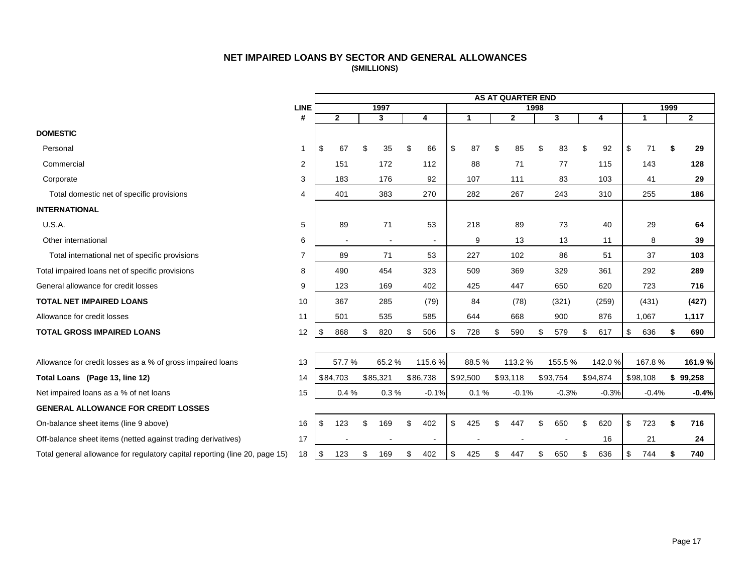## **NET IMPAIRED LOANS BY SECTOR AND GENERAL ALLOWANCES (\$MILLIONS)**

<span id="page-17-0"></span>

|                                                                             |                |              |    |                |                |              |    | <b>AS AT QUARTER END</b> |    |          |           |              |      |              |
|-----------------------------------------------------------------------------|----------------|--------------|----|----------------|----------------|--------------|----|--------------------------|----|----------|-----------|--------------|------|--------------|
|                                                                             | <b>LINE</b>    |              |    | 1997           |                |              |    | 1998                     |    |          |           |              | 1999 |              |
|                                                                             | #              | $\mathbf{2}$ |    | 3              | 4              | $\mathbf{1}$ |    | $\overline{2}$           |    | 3        | 4         | $\mathbf{1}$ |      | $\mathbf{2}$ |
| <b>DOMESTIC</b>                                                             |                |              |    |                |                |              |    |                          |    |          |           |              |      |              |
| Personal                                                                    | 1              | \$<br>67     |    | 35             | \$<br>66       | \$<br>87     | \$ | 85                       | \$ | 83       | \$<br>92  | \$<br>71     | \$   | 29           |
| Commercial                                                                  | 2              | 151          |    | 172            | 112            | 88           |    | 71                       |    | 77       | 115       | 143          |      | 128          |
| Corporate                                                                   | 3              | 183          |    | 176            | 92             | 107          |    | 111                      |    | 83       | 103       | 41           |      | 29           |
| Total domestic net of specific provisions                                   | 4              | 401          |    | 383            | 270            | 282          |    | 267                      |    | 243      | 310       | 255          |      | 186          |
| <b>INTERNATIONAL</b>                                                        |                |              |    |                |                |              |    |                          |    |          |           |              |      |              |
| U.S.A.                                                                      | 5              | 89           |    | 71             | 53             | 218          |    | 89                       |    | 73       | 40        | 29           |      | 64           |
| Other international                                                         | 6              | $\sim$       |    | $\overline{a}$ |                | 9            |    | 13                       |    | 13       | 11        | 8            |      | 39           |
| Total international net of specific provisions                              | $\overline{7}$ | 89           |    | 71             | 53             | 227          |    | 102                      |    | 86       | 51        | 37           |      | 103          |
| Total impaired loans net of specific provisions                             | 8              | 490          |    | 454            | 323            | 509          |    | 369                      |    | 329      | 361       | 292          |      | 289          |
| General allowance for credit losses                                         | 9              | 123          |    | 169            | 402            | 425          |    | 447                      |    | 650      | 620       | 723          |      | 716          |
| <b>TOTAL NET IMPAIRED LOANS</b>                                             | 10             | 367          |    | 285            | (79)           | 84           |    | (78)                     |    | (321)    | (259)     | (431)        |      | (427)        |
| Allowance for credit losses                                                 | 11             | 501          |    | 535            | 585            | 644          |    | 668                      |    | 900      | 876       | 1,067        |      | 1,117        |
| <b>TOTAL GROSS IMPAIRED LOANS</b>                                           | 12             | \$<br>868    | \$ | 820            | \$<br>506      | \$<br>728    | \$ | 590                      | \$ | 579      | \$<br>617 | \$<br>636    | \$   | 690          |
|                                                                             |                |              |    |                |                |              |    |                          |    |          |           |              |      |              |
| Allowance for credit losses as a % of gross impaired loans                  | 13             | 57.7%        |    | 65.2%          | 115.6%         | 88.5%        |    | 113.2 %                  |    | 155.5%   | 142.0%    | 167.8%       |      | 161.9 %      |
| Total Loans (Page 13, line 12)                                              | 14             | \$84,703     |    | \$85,321       | \$86,738       | \$92,500     |    | \$93,118                 |    | \$93,754 | \$94,874  | \$98,108     |      | \$99,258     |
| Net impaired loans as a % of net loans                                      | 15             | 0.4%         |    | 0.3%           | $-0.1%$        | 0.1%         |    | $-0.1%$                  |    | $-0.3%$  | $-0.3%$   | $-0.4%$      |      | $-0.4%$      |
| <b>GENERAL ALLOWANCE FOR CREDIT LOSSES</b>                                  |                |              |    |                |                |              |    |                          |    |          |           |              |      |              |
| On-balance sheet items (line 9 above)                                       | 16             | \$<br>123    |    | 169            | \$<br>402      | \$<br>425    | ፍ  | 447                      | ፍ  | 650      | \$<br>620 | \$<br>723    | \$   | 716          |
| Off-balance sheet items (netted against trading derivatives)                | 17             |              |    |                | $\blacksquare$ |              |    |                          |    |          | 16        | 21           |      | 24           |
| Total general allowance for regulatory capital reporting (line 20, page 15) | 18             | \$<br>123    | S  | 169            | \$<br>402      | \$<br>425    | \$ | 447                      | \$ | 650      | \$<br>636 | \$<br>744    |      | 740          |